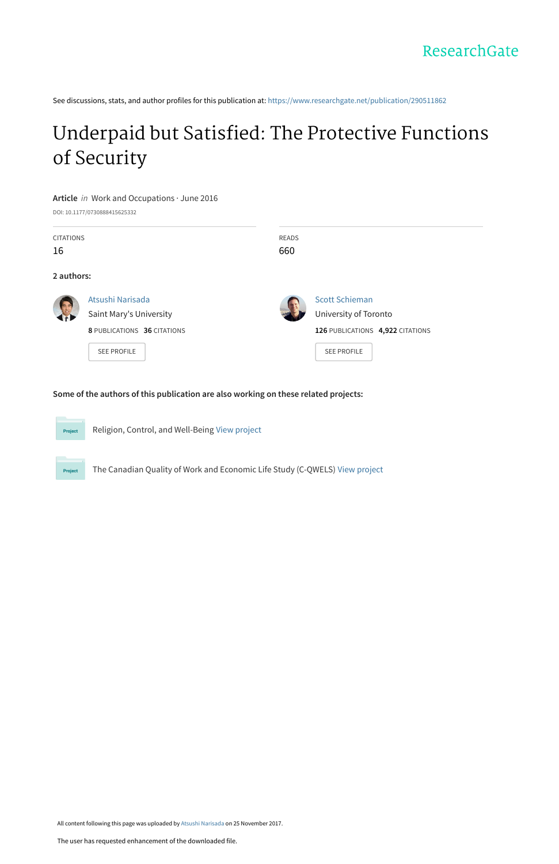See discussions, stats, and author profiles for this publication at: [https://www.researchgate.net/publication/290511862](https://www.researchgate.net/publication/290511862_Underpaid_but_Satisfied_The_Protective_Functions_of_Security?enrichId=rgreq-4e5544dc46b2da12d577c252fd01ec08-XXX&enrichSource=Y292ZXJQYWdlOzI5MDUxMTg2MjtBUzo1NjQ0ODUwMTk3MDUzNDRAMTUxMTU5NTEyNDYwMA%3D%3D&el=1_x_2&_esc=publicationCoverPdf)

# [Underpaid but Satisfied: The Protective Functions](https://www.researchgate.net/publication/290511862_Underpaid_but_Satisfied_The_Protective_Functions_of_Security?enrichId=rgreq-4e5544dc46b2da12d577c252fd01ec08-XXX&enrichSource=Y292ZXJQYWdlOzI5MDUxMTg2MjtBUzo1NjQ0ODUwMTk3MDUzNDRAMTUxMTU5NTEyNDYwMA%3D%3D&el=1_x_3&_esc=publicationCoverPdf) of Security

#### **Article** in Work and Occupations · June 2016

DOI: 10.1177/0730888415625332

| <b>CITATIONS</b> |                                             | READS |                                         |
|------------------|---------------------------------------------|-------|-----------------------------------------|
| 16               |                                             | 660   |                                         |
| 2 authors:       |                                             |       |                                         |
|                  | Atsushi Narisada<br>Saint Mary's University |       | Scott Schieman<br>University of Toronto |
|                  | 8 PUBLICATIONS 36 CITATIONS                 |       | 126 PUBLICATIONS 4,922 CITATIONS        |
|                  | <b>SEE PROFILE</b>                          |       | <b>SEE PROFILE</b>                      |
|                  |                                             |       |                                         |

#### **Some of the authors of this publication are also working on these related projects:**



Religion, Control, and Well-Being [View project](https://www.researchgate.net/project/Religion-Control-and-Well-Being?enrichId=rgreq-4e5544dc46b2da12d577c252fd01ec08-XXX&enrichSource=Y292ZXJQYWdlOzI5MDUxMTg2MjtBUzo1NjQ0ODUwMTk3MDUzNDRAMTUxMTU5NTEyNDYwMA%3D%3D&el=1_x_9&_esc=publicationCoverPdf)

The Canadian Quality of Work and Economic Life Study (C-QWELS) [View project](https://www.researchgate.net/project/The-Canadian-Quality-of-Work-and-Economic-Life-Study-C-QWELS?enrichId=rgreq-4e5544dc46b2da12d577c252fd01ec08-XXX&enrichSource=Y292ZXJQYWdlOzI5MDUxMTg2MjtBUzo1NjQ0ODUwMTk3MDUzNDRAMTUxMTU5NTEyNDYwMA%3D%3D&el=1_x_9&_esc=publicationCoverPdf)

All content following this page was uploaded by [Atsushi Narisada](https://www.researchgate.net/profile/Atsushi_Narisada?enrichId=rgreq-4e5544dc46b2da12d577c252fd01ec08-XXX&enrichSource=Y292ZXJQYWdlOzI5MDUxMTg2MjtBUzo1NjQ0ODUwMTk3MDUzNDRAMTUxMTU5NTEyNDYwMA%3D%3D&el=1_x_10&_esc=publicationCoverPdf) on 25 November 2017.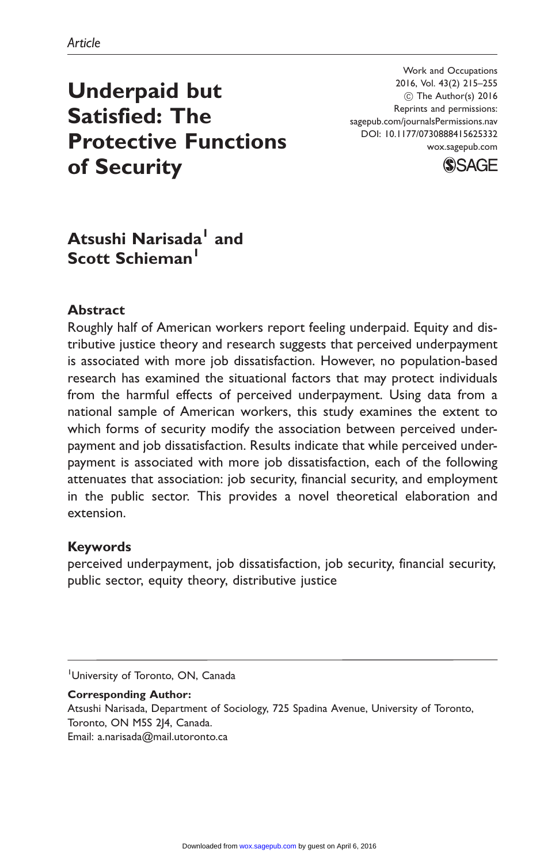# Underpaid but Satisfied: The Protective Functions of Security

Work and Occupations 2016, Vol. 43(2) 215–255  $\circled{c}$  The Author(s) 2016 Reprints and permissions: sagepub.com/journalsPermissions.nav DOI: 10.1177/0730888415625332 wox.sagepub.com





# Atsushi Narisada<sup>1</sup> and Scott Schieman<sup>1</sup>

#### Abstract

Roughly half of American workers report feeling underpaid. Equity and distributive justice theory and research suggests that perceived underpayment is associated with more job dissatisfaction. However, no population-based research has examined the situational factors that may protect individuals from the harmful effects of perceived underpayment. Using data from a national sample of American workers, this study examines the extent to which forms of security modify the association between perceived underpayment and job dissatisfaction. Results indicate that while perceived underpayment is associated with more job dissatisfaction, each of the following attenuates that association: job security, financial security, and employment in the public sector. This provides a novel theoretical elaboration and extension.

### Keywords

perceived underpayment, job dissatisfaction, job security, financial security, public sector, equity theory, distributive justice

University of Toronto, ON, Canada

Corresponding Author:

Atsushi Narisada, Department of Sociology, 725 Spadina Avenue, University of Toronto, Toronto, ON M5S 2J4, Canada. Email: a.narisada@mail.utoronto.ca

Downloaded from [wox.sagepub.com](http://wox.sagepub.com/) by guest on April 6, 2016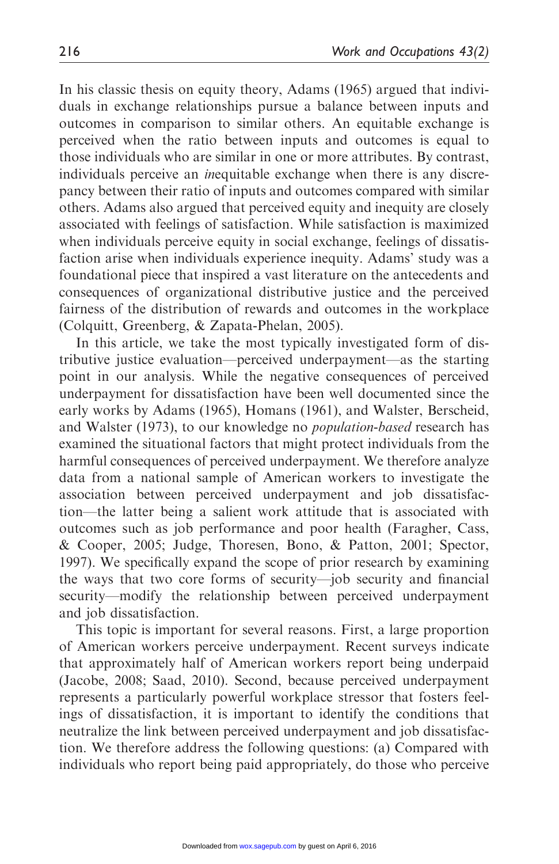In his classic thesis on equity theory, Adams (1965) argued that individuals in exchange relationships pursue a balance between inputs and outcomes in comparison to similar others. An equitable exchange is perceived when the ratio between inputs and outcomes is equal to those individuals who are similar in one or more attributes. By contrast, individuals perceive an inequitable exchange when there is any discrepancy between their ratio of inputs and outcomes compared with similar others. Adams also argued that perceived equity and inequity are closely associated with feelings of satisfaction. While satisfaction is maximized when individuals perceive equity in social exchange, feelings of dissatisfaction arise when individuals experience inequity. Adams' study was a foundational piece that inspired a vast literature on the antecedents and consequences of organizational distributive justice and the perceived fairness of the distribution of rewards and outcomes in the workplace (Colquitt, Greenberg, & Zapata-Phelan, 2005).

In this article, we take the most typically investigated form of distributive justice evaluation—perceived underpayment—as the starting point in our analysis. While the negative consequences of perceived underpayment for dissatisfaction have been well documented since the early works by Adams (1965), Homans (1961), and Walster, Berscheid, and Walster (1973), to our knowledge no population-based research has examined the situational factors that might protect individuals from the harmful consequences of perceived underpayment. We therefore analyze data from a national sample of American workers to investigate the association between perceived underpayment and job dissatisfaction—the latter being a salient work attitude that is associated with outcomes such as job performance and poor health (Faragher, Cass, & Cooper, 2005; Judge, Thoresen, Bono, & Patton, 2001; Spector, 1997). We specifically expand the scope of prior research by examining the ways that two core forms of security—job security and financial security—modify the relationship between perceived underpayment and job dissatisfaction.

This topic is important for several reasons. First, a large proportion of American workers perceive underpayment. Recent surveys indicate that approximately half of American workers report being underpaid (Jacobe, 2008; Saad, 2010). Second, because perceived underpayment represents a particularly powerful workplace stressor that fosters feelings of dissatisfaction, it is important to identify the conditions that neutralize the link between perceived underpayment and job dissatisfaction. We therefore address the following questions: (a) Compared with individuals who report being paid appropriately, do those who perceive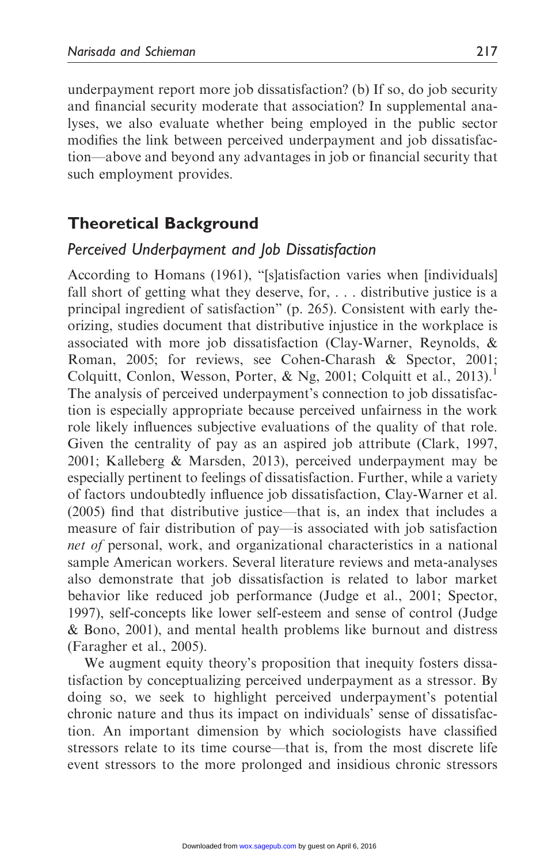underpayment report more job dissatisfaction? (b) If so, do job security and financial security moderate that association? In supplemental analyses, we also evaluate whether being employed in the public sector modifies the link between perceived underpayment and job dissatisfaction—above and beyond any advantages in job or financial security that such employment provides.

# Theoretical Background

# Perceived Underpayment and Job Dissatisfaction

According to Homans (1961), "[s]atisfaction varies when [individuals] fall short of getting what they deserve, for, . . . distributive justice is a principal ingredient of satisfaction" (p. 265). Consistent with early theorizing, studies document that distributive injustice in the workplace is associated with more job dissatisfaction (Clay-Warner, Reynolds, & Roman, 2005; for reviews, see Cohen-Charash & Spector, 2001; Colquitt, Conlon, Wesson, Porter, & Ng, 2001; Colquitt et al., 2013).<sup>1</sup> The analysis of perceived underpayment's connection to job dissatisfaction is especially appropriate because perceived unfairness in the work role likely influences subjective evaluations of the quality of that role. Given the centrality of pay as an aspired job attribute (Clark, 1997, 2001; Kalleberg & Marsden, 2013), perceived underpayment may be especially pertinent to feelings of dissatisfaction. Further, while a variety of factors undoubtedly influence job dissatisfaction, Clay-Warner et al. (2005) find that distributive justice—that is, an index that includes a measure of fair distribution of pay—is associated with job satisfaction net of personal, work, and organizational characteristics in a national sample American workers. Several literature reviews and meta-analyses also demonstrate that job dissatisfaction is related to labor market behavior like reduced job performance (Judge et al., 2001; Spector, 1997), self-concepts like lower self-esteem and sense of control (Judge & Bono, 2001), and mental health problems like burnout and distress (Faragher et al., 2005).

We augment equity theory's proposition that inequity fosters dissatisfaction by conceptualizing perceived underpayment as a stressor. By doing so, we seek to highlight perceived underpayment's potential chronic nature and thus its impact on individuals' sense of dissatisfaction. An important dimension by which sociologists have classified stressors relate to its time course—that is, from the most discrete life event stressors to the more prolonged and insidious chronic stressors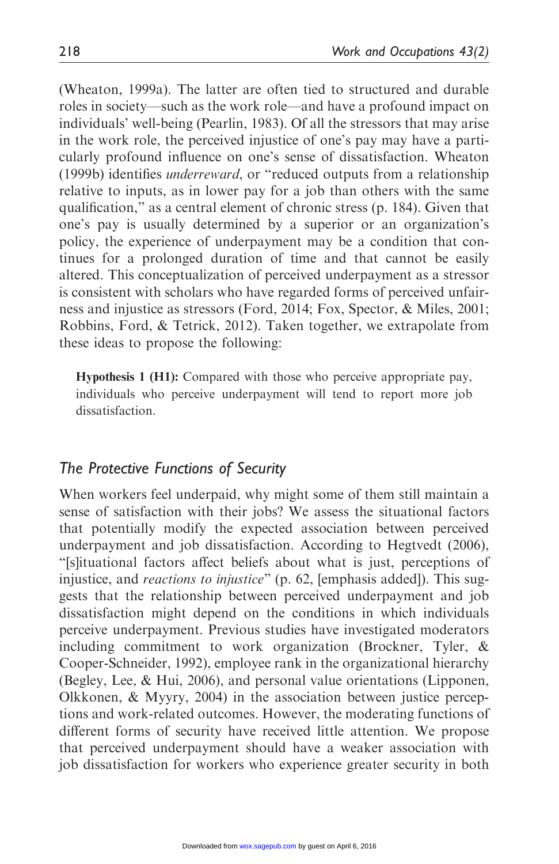(Wheaton, 1999a). The latter are often tied to structured and durable roles in society—such as the work role—and have a profound impact on individuals' well-being (Pearlin, 1983). Of all the stressors that may arise in the work role, the perceived injustice of one's pay may have a particularly profound influence on one's sense of dissatisfaction. Wheaton (1999b) identifies underreward, or "reduced outputs from a relationship relative to inputs, as in lower pay for a job than others with the same qualification," as a central element of chronic stress (p. 184). Given that one's pay is usually determined by a superior or an organization's policy, the experience of underpayment may be a condition that continues for a prolonged duration of time and that cannot be easily altered. This conceptualization of perceived underpayment as a stressor is consistent with scholars who have regarded forms of perceived unfairness and injustice as stressors (Ford, 2014; Fox, Spector, & Miles, 2001; Robbins, Ford, & Tetrick, 2012). Taken together, we extrapolate from these ideas to propose the following:

Hypothesis 1 (H1): Compared with those who perceive appropriate pay, individuals who perceive underpayment will tend to report more job dissatisfaction.

# The Protective Functions of Security

When workers feel underpaid, why might some of them still maintain a sense of satisfaction with their jobs? We assess the situational factors that potentially modify the expected association between perceived underpayment and job dissatisfaction. According to Hegtvedt (2006), "[s]ituational factors affect beliefs about what is just, perceptions of injustice, and *reactions to injustice*" (p. 62, [emphasis added]). This suggests that the relationship between perceived underpayment and job dissatisfaction might depend on the conditions in which individuals perceive underpayment. Previous studies have investigated moderators including commitment to work organization (Brockner, Tyler, & Cooper-Schneider, 1992), employee rank in the organizational hierarchy (Begley, Lee, & Hui, 2006), and personal value orientations (Lipponen, Olkkonen, & Myyry, 2004) in the association between justice perceptions and work-related outcomes. However, the moderating functions of different forms of security have received little attention. We propose that perceived underpayment should have a weaker association with job dissatisfaction for workers who experience greater security in both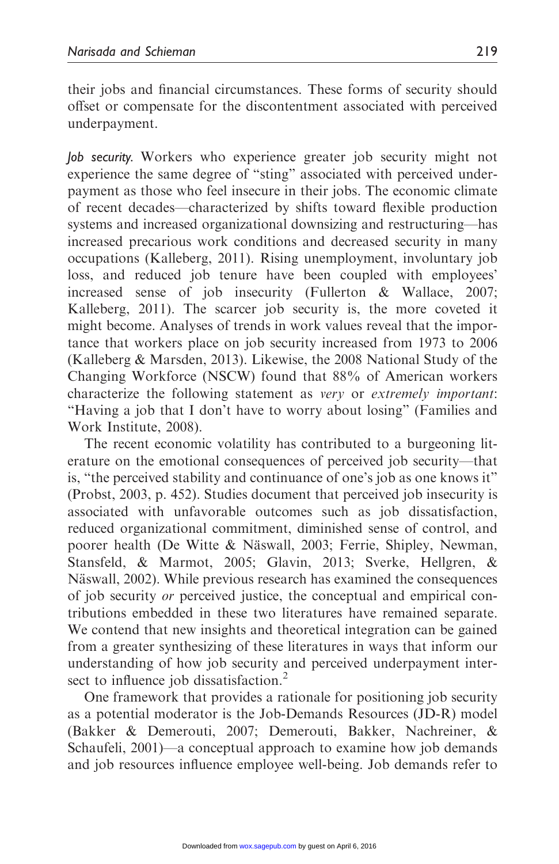their jobs and financial circumstances. These forms of security should offset or compensate for the discontentment associated with perceived underpayment.

Job security. Workers who experience greater job security might not experience the same degree of "sting" associated with perceived underpayment as those who feel insecure in their jobs. The economic climate of recent decades—characterized by shifts toward flexible production systems and increased organizational downsizing and restructuring—has increased precarious work conditions and decreased security in many occupations (Kalleberg, 2011). Rising unemployment, involuntary job loss, and reduced job tenure have been coupled with employees' increased sense of job insecurity (Fullerton & Wallace, 2007; Kalleberg, 2011). The scarcer job security is, the more coveted it might become. Analyses of trends in work values reveal that the importance that workers place on job security increased from 1973 to 2006 (Kalleberg & Marsden, 2013). Likewise, the 2008 National Study of the Changing Workforce (NSCW) found that 88% of American workers characterize the following statement as very or extremely important: "Having a job that I don't have to worry about losing" (Families and Work Institute, 2008).

The recent economic volatility has contributed to a burgeoning literature on the emotional consequences of perceived job security—that is, "the perceived stability and continuance of one's job as one knows it" (Probst, 2003, p. 452). Studies document that perceived job insecurity is associated with unfavorable outcomes such as job dissatisfaction, reduced organizational commitment, diminished sense of control, and poorer health (De Witte & Na¨swall, 2003; Ferrie, Shipley, Newman, Stansfeld, & Marmot, 2005; Glavin, 2013; Sverke, Hellgren, & Näswall, 2002). While previous research has examined the consequences of job security or perceived justice, the conceptual and empirical contributions embedded in these two literatures have remained separate. We contend that new insights and theoretical integration can be gained from a greater synthesizing of these literatures in ways that inform our understanding of how job security and perceived underpayment intersect to influence job dissatisfaction.<sup>2</sup>

One framework that provides a rationale for positioning job security as a potential moderator is the Job-Demands Resources (JD-R) model (Bakker & Demerouti, 2007; Demerouti, Bakker, Nachreiner, & Schaufeli, 2001)—a conceptual approach to examine how job demands and job resources influence employee well-being. Job demands refer to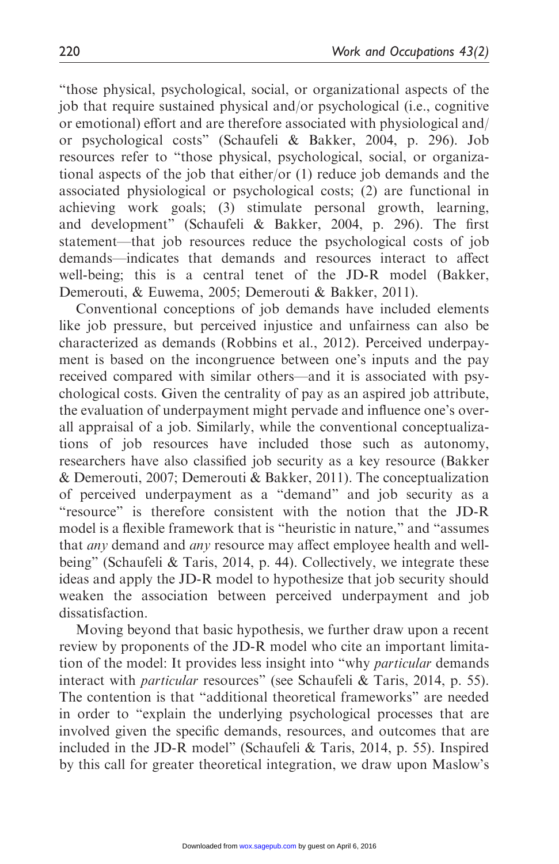"those physical, psychological, social, or organizational aspects of the job that require sustained physical and/or psychological (i.e., cognitive or emotional) effort and are therefore associated with physiological and/ or psychological costs" (Schaufeli & Bakker, 2004, p. 296). Job resources refer to "those physical, psychological, social, or organizational aspects of the job that either/or (1) reduce job demands and the associated physiological or psychological costs; (2) are functional in achieving work goals; (3) stimulate personal growth, learning, and development" (Schaufeli & Bakker, 2004, p. 296). The first statement—that job resources reduce the psychological costs of job demands—indicates that demands and resources interact to affect well-being; this is a central tenet of the JD-R model (Bakker, Demerouti, & Euwema, 2005; Demerouti & Bakker, 2011).

Conventional conceptions of job demands have included elements like job pressure, but perceived injustice and unfairness can also be characterized as demands (Robbins et al., 2012). Perceived underpayment is based on the incongruence between one's inputs and the pay received compared with similar others—and it is associated with psychological costs. Given the centrality of pay as an aspired job attribute, the evaluation of underpayment might pervade and influence one's overall appraisal of a job. Similarly, while the conventional conceptualizations of job resources have included those such as autonomy, researchers have also classified job security as a key resource (Bakker & Demerouti, 2007; Demerouti & Bakker, 2011). The conceptualization of perceived underpayment as a "demand" and job security as a "resource" is therefore consistent with the notion that the JD-R model is a flexible framework that is "heuristic in nature," and "assumes that *any* demand and *any* resource may affect employee health and wellbeing" (Schaufeli & Taris, 2014, p. 44). Collectively, we integrate these ideas and apply the JD-R model to hypothesize that job security should weaken the association between perceived underpayment and job dissatisfaction.

Moving beyond that basic hypothesis, we further draw upon a recent review by proponents of the JD-R model who cite an important limitation of the model: It provides less insight into "why *particular* demands interact with *particular* resources" (see Schaufeli & Taris, 2014, p. 55). The contention is that "additional theoretical frameworks" are needed in order to "explain the underlying psychological processes that are involved given the specific demands, resources, and outcomes that are included in the JD-R model" (Schaufeli & Taris, 2014, p. 55). Inspired by this call for greater theoretical integration, we draw upon Maslow's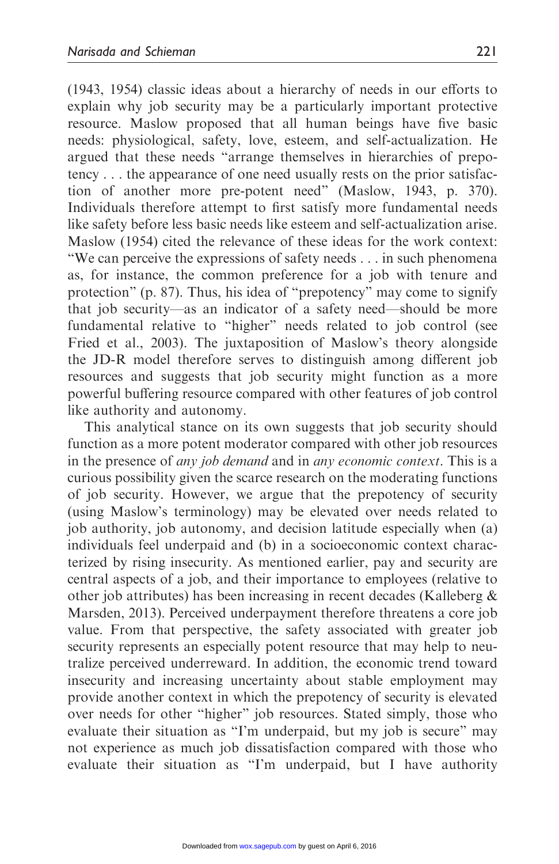(1943, 1954) classic ideas about a hierarchy of needs in our efforts to explain why job security may be a particularly important protective resource. Maslow proposed that all human beings have five basic needs: physiological, safety, love, esteem, and self-actualization. He argued that these needs "arrange themselves in hierarchies of prepotency . . . the appearance of one need usually rests on the prior satisfaction of another more pre-potent need" (Maslow, 1943, p. 370). Individuals therefore attempt to first satisfy more fundamental needs like safety before less basic needs like esteem and self-actualization arise. Maslow (1954) cited the relevance of these ideas for the work context: "We can perceive the expressions of safety needs . . . in such phenomena as, for instance, the common preference for a job with tenure and protection" (p. 87). Thus, his idea of "prepotency" may come to signify that job security—as an indicator of a safety need—should be more fundamental relative to "higher" needs related to job control (see Fried et al., 2003). The juxtaposition of Maslow's theory alongside the JD-R model therefore serves to distinguish among different job resources and suggests that job security might function as a more powerful buffering resource compared with other features of job control like authority and autonomy.

This analytical stance on its own suggests that job security should function as a more potent moderator compared with other job resources in the presence of any job demand and in any economic context. This is a curious possibility given the scarce research on the moderating functions of job security. However, we argue that the prepotency of security (using Maslow's terminology) may be elevated over needs related to job authority, job autonomy, and decision latitude especially when (a) individuals feel underpaid and (b) in a socioeconomic context characterized by rising insecurity. As mentioned earlier, pay and security are central aspects of a job, and their importance to employees (relative to other job attributes) has been increasing in recent decades (Kalleberg & Marsden, 2013). Perceived underpayment therefore threatens a core job value. From that perspective, the safety associated with greater job security represents an especially potent resource that may help to neutralize perceived underreward. In addition, the economic trend toward insecurity and increasing uncertainty about stable employment may provide another context in which the prepotency of security is elevated over needs for other "higher" job resources. Stated simply, those who evaluate their situation as "I'm underpaid, but my job is secure" may not experience as much job dissatisfaction compared with those who evaluate their situation as "I'm underpaid, but I have authority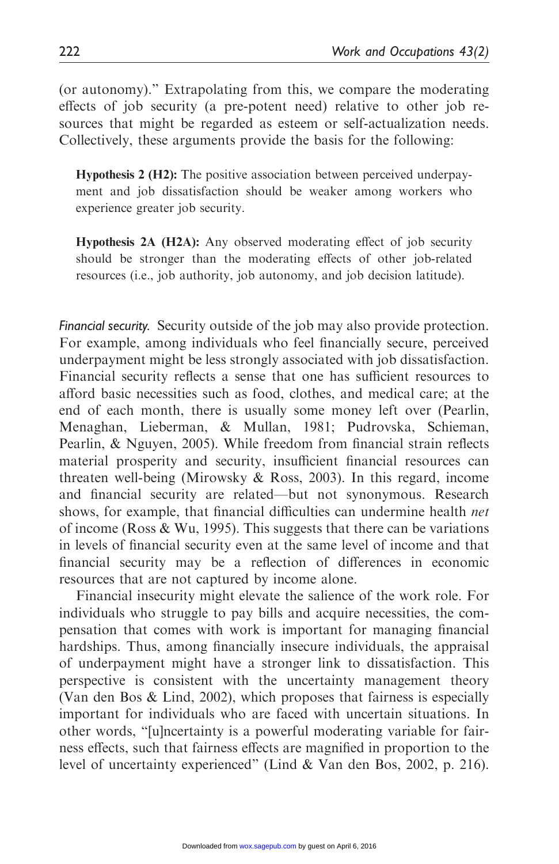(or autonomy)." Extrapolating from this, we compare the moderating effects of job security (a pre-potent need) relative to other job resources that might be regarded as esteem or self-actualization needs. Collectively, these arguments provide the basis for the following:

Hypothesis 2 (H2): The positive association between perceived underpayment and job dissatisfaction should be weaker among workers who experience greater job security.

Hypothesis 2A (H2A): Any observed moderating effect of job security should be stronger than the moderating effects of other job-related resources (i.e., job authority, job autonomy, and job decision latitude).

Financial security. Security outside of the job may also provide protection. For example, among individuals who feel financially secure, perceived underpayment might be less strongly associated with job dissatisfaction. Financial security reflects a sense that one has sufficient resources to afford basic necessities such as food, clothes, and medical care; at the end of each month, there is usually some money left over (Pearlin, Menaghan, Lieberman, & Mullan, 1981; Pudrovska, Schieman, Pearlin, & Nguyen, 2005). While freedom from financial strain reflects material prosperity and security, insufficient financial resources can threaten well-being (Mirowsky & Ross, 2003). In this regard, income and financial security are related—but not synonymous. Research shows, for example, that financial difficulties can undermine health net of income (Ross & Wu, 1995). This suggests that there can be variations in levels of financial security even at the same level of income and that financial security may be a reflection of differences in economic resources that are not captured by income alone.

Financial insecurity might elevate the salience of the work role. For individuals who struggle to pay bills and acquire necessities, the compensation that comes with work is important for managing financial hardships. Thus, among financially insecure individuals, the appraisal of underpayment might have a stronger link to dissatisfaction. This perspective is consistent with the uncertainty management theory (Van den Bos & Lind, 2002), which proposes that fairness is especially important for individuals who are faced with uncertain situations. In other words, "[u]ncertainty is a powerful moderating variable for fairness effects, such that fairness effects are magnified in proportion to the level of uncertainty experienced" (Lind & Van den Bos, 2002, p. 216).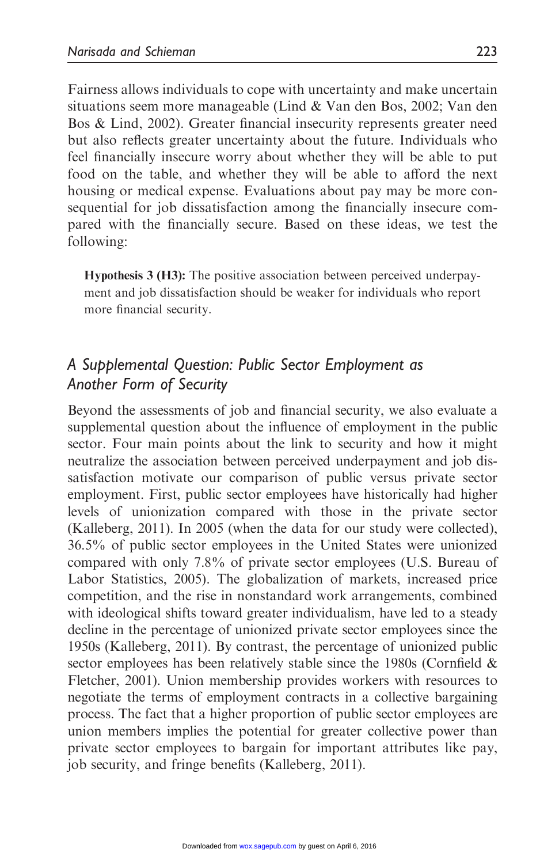Fairness allows individuals to cope with uncertainty and make uncertain situations seem more manageable (Lind & Van den Bos, 2002; Van den Bos & Lind, 2002). Greater financial insecurity represents greater need but also reflects greater uncertainty about the future. Individuals who feel financially insecure worry about whether they will be able to put food on the table, and whether they will be able to afford the next housing or medical expense. Evaluations about pay may be more consequential for job dissatisfaction among the financially insecure compared with the financially secure. Based on these ideas, we test the following:

Hypothesis 3 (H3): The positive association between perceived underpayment and job dissatisfaction should be weaker for individuals who report more financial security.

# A Supplemental Question: Public Sector Employment as Another Form of Security

Beyond the assessments of job and financial security, we also evaluate a supplemental question about the influence of employment in the public sector. Four main points about the link to security and how it might neutralize the association between perceived underpayment and job dissatisfaction motivate our comparison of public versus private sector employment. First, public sector employees have historically had higher levels of unionization compared with those in the private sector (Kalleberg, 2011). In 2005 (when the data for our study were collected), 36.5% of public sector employees in the United States were unionized compared with only 7.8% of private sector employees (U.S. Bureau of Labor Statistics, 2005). The globalization of markets, increased price competition, and the rise in nonstandard work arrangements, combined with ideological shifts toward greater individualism, have led to a steady decline in the percentage of unionized private sector employees since the 1950s (Kalleberg, 2011). By contrast, the percentage of unionized public sector employees has been relatively stable since the 1980s (Cornfield & Fletcher, 2001). Union membership provides workers with resources to negotiate the terms of employment contracts in a collective bargaining process. The fact that a higher proportion of public sector employees are union members implies the potential for greater collective power than private sector employees to bargain for important attributes like pay, job security, and fringe benefits (Kalleberg, 2011).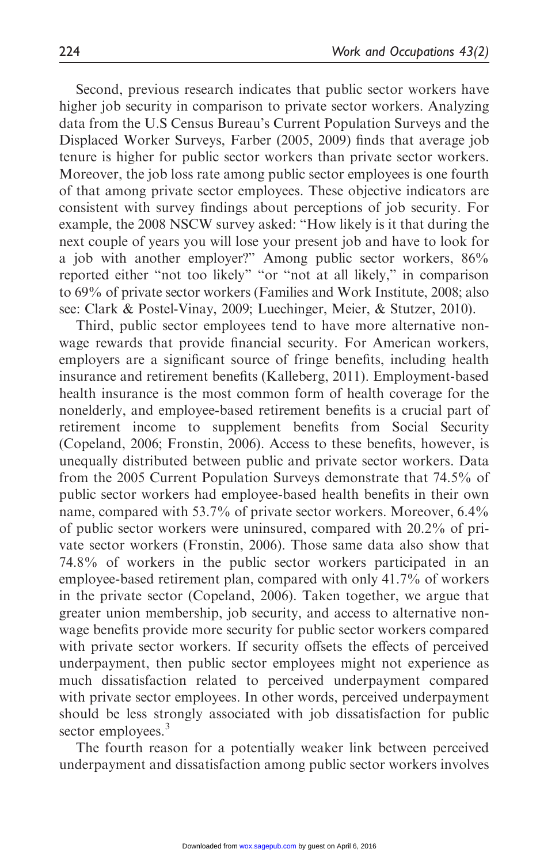Second, previous research indicates that public sector workers have higher job security in comparison to private sector workers. Analyzing data from the U.S Census Bureau's Current Population Surveys and the Displaced Worker Surveys, Farber (2005, 2009) finds that average job tenure is higher for public sector workers than private sector workers. Moreover, the job loss rate among public sector employees is one fourth of that among private sector employees. These objective indicators are consistent with survey findings about perceptions of job security. For example, the 2008 NSCW survey asked: "How likely is it that during the next couple of years you will lose your present job and have to look for a job with another employer?" Among public sector workers, 86% reported either "not too likely" "or "not at all likely," in comparison to 69% of private sector workers (Families and Work Institute, 2008; also see: Clark & Postel-Vinay, 2009; Luechinger, Meier, & Stutzer, 2010).

Third, public sector employees tend to have more alternative nonwage rewards that provide financial security. For American workers, employers are a significant source of fringe benefits, including health insurance and retirement benefits (Kalleberg, 2011). Employment-based health insurance is the most common form of health coverage for the nonelderly, and employee-based retirement benefits is a crucial part of retirement income to supplement benefits from Social Security (Copeland, 2006; Fronstin, 2006). Access to these benefits, however, is unequally distributed between public and private sector workers. Data from the 2005 Current Population Surveys demonstrate that 74.5% of public sector workers had employee-based health benefits in their own name, compared with 53.7% of private sector workers. Moreover, 6.4% of public sector workers were uninsured, compared with 20.2% of private sector workers (Fronstin, 2006). Those same data also show that 74.8% of workers in the public sector workers participated in an employee-based retirement plan, compared with only 41.7% of workers in the private sector (Copeland, 2006). Taken together, we argue that greater union membership, job security, and access to alternative nonwage benefits provide more security for public sector workers compared with private sector workers. If security offsets the effects of perceived underpayment, then public sector employees might not experience as much dissatisfaction related to perceived underpayment compared with private sector employees. In other words, perceived underpayment should be less strongly associated with job dissatisfaction for public sector employees.<sup>3</sup>

The fourth reason for a potentially weaker link between perceived underpayment and dissatisfaction among public sector workers involves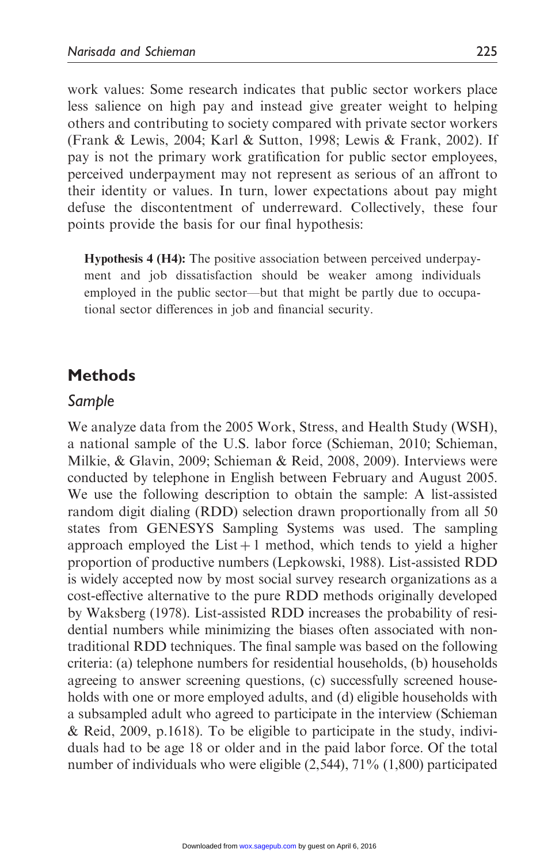work values: Some research indicates that public sector workers place less salience on high pay and instead give greater weight to helping others and contributing to society compared with private sector workers (Frank & Lewis, 2004; Karl & Sutton, 1998; Lewis & Frank, 2002). If pay is not the primary work gratification for public sector employees, perceived underpayment may not represent as serious of an affront to their identity or values. In turn, lower expectations about pay might defuse the discontentment of underreward. Collectively, these four points provide the basis for our final hypothesis:

Hypothesis 4 (H4): The positive association between perceived underpayment and job dissatisfaction should be weaker among individuals employed in the public sector—but that might be partly due to occupational sector differences in job and financial security.

# Methods

### Sample

We analyze data from the 2005 Work, Stress, and Health Study (WSH), a national sample of the U.S. labor force (Schieman, 2010; Schieman, Milkie, & Glavin, 2009; Schieman & Reid, 2008, 2009). Interviews were conducted by telephone in English between February and August 2005. We use the following description to obtain the sample: A list-assisted random digit dialing (RDD) selection drawn proportionally from all 50 states from GENESYS Sampling Systems was used. The sampling approach employed the List  $+1$  method, which tends to yield a higher proportion of productive numbers (Lepkowski, 1988). List-assisted RDD is widely accepted now by most social survey research organizations as a cost-effective alternative to the pure RDD methods originally developed by Waksberg (1978). List-assisted RDD increases the probability of residential numbers while minimizing the biases often associated with nontraditional RDD techniques. The final sample was based on the following criteria: (a) telephone numbers for residential households, (b) households agreeing to answer screening questions, (c) successfully screened households with one or more employed adults, and (d) eligible households with a subsampled adult who agreed to participate in the interview (Schieman & Reid, 2009, p.1618). To be eligible to participate in the study, individuals had to be age 18 or older and in the paid labor force. Of the total number of individuals who were eligible (2,544), 71% (1,800) participated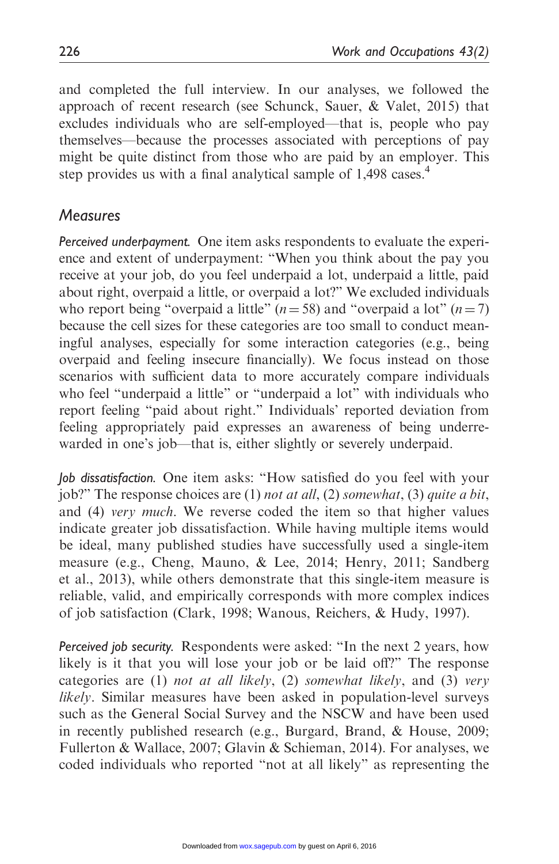and completed the full interview. In our analyses, we followed the approach of recent research (see Schunck, Sauer, & Valet, 2015) that excludes individuals who are self-employed—that is, people who pay themselves—because the processes associated with perceptions of pay might be quite distinct from those who are paid by an employer. This step provides us with a final analytical sample of 1,498 cases.<sup>4</sup>

# Measures

Perceived underpayment. One item asks respondents to evaluate the experience and extent of underpayment: "When you think about the pay you receive at your job, do you feel underpaid a lot, underpaid a little, paid about right, overpaid a little, or overpaid a lot?" We excluded individuals who report being "overpaid a little"  $(n = 58)$  and "overpaid a lot"  $(n = 7)$ because the cell sizes for these categories are too small to conduct meaningful analyses, especially for some interaction categories (e.g., being overpaid and feeling insecure financially). We focus instead on those scenarios with sufficient data to more accurately compare individuals who feel "underpaid a little" or "underpaid a lot" with individuals who report feeling "paid about right." Individuals' reported deviation from feeling appropriately paid expresses an awareness of being underrewarded in one's job—that is, either slightly or severely underpaid.

Job dissatisfaction. One item asks: "How satisfied do you feel with your job?" The response choices are (1) not at all, (2) somewhat, (3) quite a bit, and (4) very much. We reverse coded the item so that higher values indicate greater job dissatisfaction. While having multiple items would be ideal, many published studies have successfully used a single-item measure (e.g., Cheng, Mauno, & Lee, 2014; Henry, 2011; Sandberg et al., 2013), while others demonstrate that this single-item measure is reliable, valid, and empirically corresponds with more complex indices of job satisfaction (Clark, 1998; Wanous, Reichers, & Hudy, 1997).

Perceived job security. Respondents were asked: "In the next 2 years, how likely is it that you will lose your job or be laid off?" The response categories are  $(1)$  *not at all likely*,  $(2)$  *somewhat likely*, and  $(3)$  *very* likely. Similar measures have been asked in population-level surveys such as the General Social Survey and the NSCW and have been used in recently published research (e.g., Burgard, Brand, & House, 2009; Fullerton & Wallace, 2007; Glavin & Schieman, 2014). For analyses, we coded individuals who reported "not at all likely" as representing the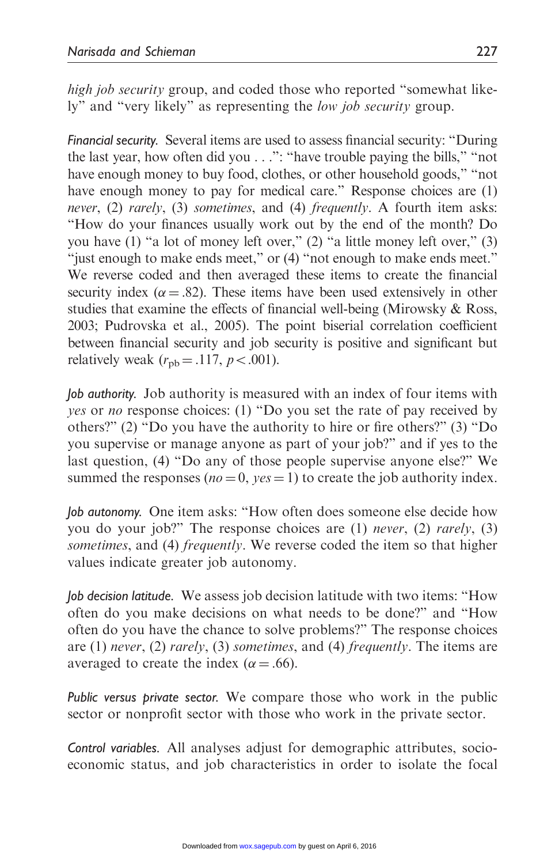high job security group, and coded those who reported "somewhat likely" and "very likely" as representing the low job security group.

Financial security. Several items are used to assess financial security: "During the last year, how often did you . . .": "have trouble paying the bills," "not have enough money to buy food, clothes, or other household goods," "not have enough money to pay for medical care." Response choices are (1) never, (2) rarely, (3) sometimes, and (4) frequently. A fourth item asks: "How do your finances usually work out by the end of the month? Do you have (1) "a lot of money left over," (2) "a little money left over," (3) "just enough to make ends meet," or (4) "not enough to make ends meet." We reverse coded and then averaged these items to create the financial security index ( $\alpha = .82$ ). These items have been used extensively in other studies that examine the effects of financial well-being (Mirowsky & Ross, 2003; Pudrovska et al., 2005). The point biserial correlation coefficient between financial security and job security is positive and significant but relatively weak  $(r_{\text{pb}} = .117, p < .001)$ .

Job authority. Job authority is measured with an index of four items with yes or no response choices: (1) "Do you set the rate of pay received by others?" (2) "Do you have the authority to hire or fire others?" (3) "Do you supervise or manage anyone as part of your job?" and if yes to the last question, (4) "Do any of those people supervise anyone else?" We summed the responses ( $no = 0$ ,  $yes = 1$ ) to create the job authority index.

Job autonomy. One item asks: "How often does someone else decide how you do your job?" The response choices are (1) never, (2) rarely, (3) sometimes, and (4) frequently. We reverse coded the item so that higher values indicate greater job autonomy.

Job decision latitude. We assess job decision latitude with two items: "How often do you make decisions on what needs to be done?" and "How often do you have the chance to solve problems?" The response choices are (1) never, (2) rarely, (3) sometimes, and (4) frequently. The items are averaged to create the index ( $\alpha = .66$ ).

Public versus private sector. We compare those who work in the public sector or nonprofit sector with those who work in the private sector.

Control variables. All analyses adjust for demographic attributes, socioeconomic status, and job characteristics in order to isolate the focal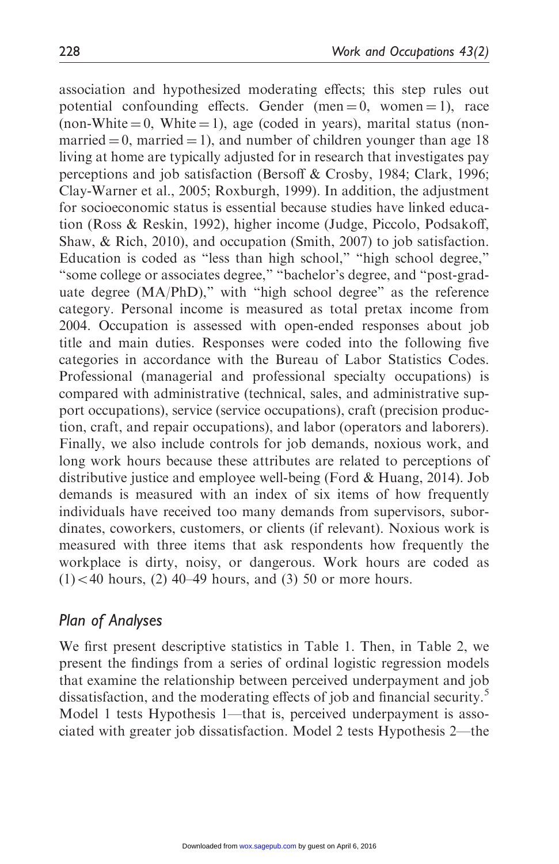association and hypothesized moderating effects; this step rules out potential confounding effects. Gender (men  $= 0$ , women  $= 1$ ), race (non-White  $= 0$ , White  $= 1$ ), age (coded in years), marital status (nonmarried  $= 0$ , married  $= 1$ ), and number of children younger than age 18 living at home are typically adjusted for in research that investigates pay perceptions and job satisfaction (Bersoff & Crosby, 1984; Clark, 1996; Clay-Warner et al., 2005; Roxburgh, 1999). In addition, the adjustment for socioeconomic status is essential because studies have linked education (Ross & Reskin, 1992), higher income (Judge, Piccolo, Podsakoff, Shaw, & Rich, 2010), and occupation (Smith, 2007) to job satisfaction. Education is coded as "less than high school," "high school degree," "some college or associates degree," "bachelor's degree, and "post-graduate degree (MA/PhD)," with "high school degree" as the reference category. Personal income is measured as total pretax income from 2004. Occupation is assessed with open-ended responses about job title and main duties. Responses were coded into the following five categories in accordance with the Bureau of Labor Statistics Codes. Professional (managerial and professional specialty occupations) is compared with administrative (technical, sales, and administrative support occupations), service (service occupations), craft (precision production, craft, and repair occupations), and labor (operators and laborers). Finally, we also include controls for job demands, noxious work, and long work hours because these attributes are related to perceptions of distributive justice and employee well-being (Ford & Huang, 2014). Job demands is measured with an index of six items of how frequently individuals have received too many demands from supervisors, subordinates, coworkers, customers, or clients (if relevant). Noxious work is measured with three items that ask respondents how frequently the workplace is dirty, noisy, or dangerous. Work hours are coded as  $(1)$  < 40 hours, (2) 40–49 hours, and (3) 50 or more hours.

# Plan of Analyses

We first present descriptive statistics in Table 1. Then, in Table 2, we present the findings from a series of ordinal logistic regression models that examine the relationship between perceived underpayment and job dissatisfaction, and the moderating effects of job and financial security.<sup>5</sup> Model 1 tests Hypothesis 1—that is, perceived underpayment is associated with greater job dissatisfaction. Model 2 tests Hypothesis 2—the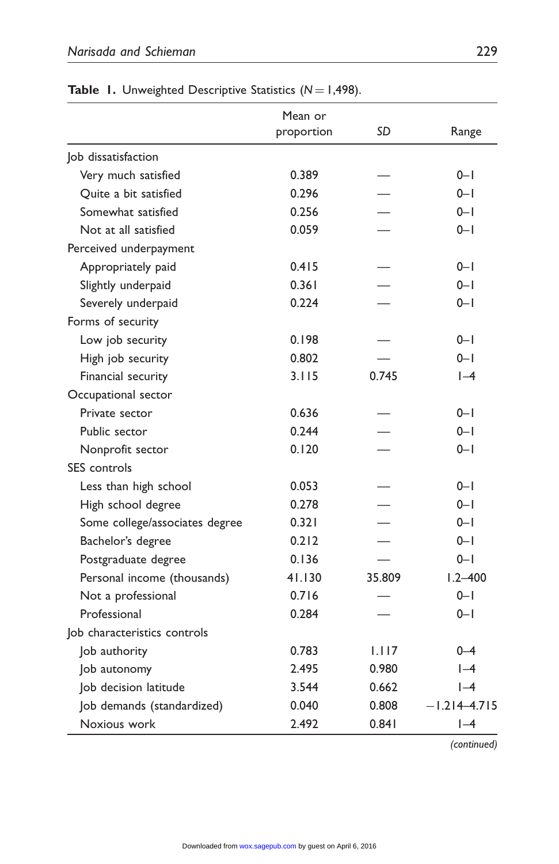|                                | Mean or    |        |                  |
|--------------------------------|------------|--------|------------------|
|                                | proportion | SD     | Range            |
| Job dissatisfaction            |            |        |                  |
| Very much satisfied            | 0.389      |        | $0 - 1$          |
| Quite a bit satisfied          | 0.296      |        | $0 - 1$          |
| Somewhat satisfied             | 0.256      |        | $0 - 1$          |
| Not at all satisfied           | 0.059      |        | $0 - 1$          |
| Perceived underpayment         |            |        |                  |
| Appropriately paid             | 0.415      |        | $0 - 1$          |
| Slightly underpaid             | 0.361      |        | $0 - 1$          |
| Severely underpaid             | 0.224      |        | $0 - 1$          |
| Forms of security              |            |        |                  |
| Low job security               | 0.198      |        | $0 - 1$          |
| High job security              | 0.802      |        | $0 - 1$          |
| Financial security             | 3.115      | 0.745  | $-4$             |
| Occupational sector            |            |        |                  |
| Private sector                 | 0.636      |        | $0 - 1$          |
| Public sector                  | 0.244      |        | $0 - 1$          |
| Nonprofit sector               | 0.120      |        | $0 - 1$          |
| <b>SES</b> controls            |            |        |                  |
| Less than high school          | 0.053      |        | $0 - 1$          |
| High school degree             | 0.278      |        | $0 - 1$          |
| Some college/associates degree | 0.321      |        | $0 - 1$          |
| Bachelor's degree              | 0.212      |        | $0 - 1$          |
| Postgraduate degree            | 0.136      |        | $0 - 1$          |
| Personal income (thousands)    | 41.130     | 35.809 | $1.2 - 400$      |
| Not a professional             | 0.716      |        | $0 - 1$          |
| Professional                   | 0.284      |        | $0 - 1$          |
| Job characteristics controls   |            |        |                  |
| Job authority                  | 0.783      | 1.117  | $0 - 4$          |
| Job autonomy                   | 2.495      | 0.980  | $I - 4$          |
| Job decision latitude          | 3.544      | 0.662  | $-4$             |
| Job demands (standardized)     | 0.040      | 0.808  | $-1.214 - 4.715$ |
| Noxious work                   | 2.492      | 0.841  | $I-4$            |

## Table 1. Unweighted Descriptive Statistics ( $N = 1,498$ ).

(continued)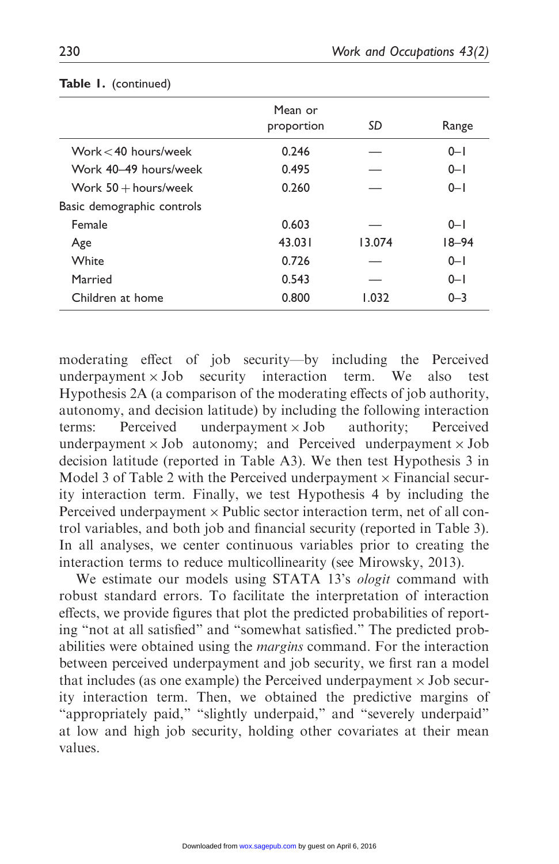|                            | Mean or    |        |           |
|----------------------------|------------|--------|-----------|
|                            | proportion | SD     | Range     |
| Work $<$ 40 hours/week     | 0.246      |        | $0 - 1$   |
| Work 40-49 hours/week      | 0.495      |        | $0 - 1$   |
| Work $50 +$ hours/week     | 0.260      |        | $0 - 1$   |
| Basic demographic controls |            |        |           |
| Female                     | 0.603      |        | $0 - 1$   |
| Age                        | 43.031     | 13.074 | $18 - 94$ |
| White                      | 0.726      |        | $0 - 1$   |
| Married                    | 0.543      |        | $0 - 1$   |
| Children at home           | 0.800      | 1.032  | $0 - 3$   |

#### Table 1. (continued)

moderating effect of job security—by including the Perceived underpayment  $\times$  Job security interaction term. We also test Hypothesis 2A (a comparison of the moderating effects of job authority, autonomy, and decision latitude) by including the following interaction terms: Perceived underpayment Job authority; Perceived underpayment  $\times$  Job autonomy; and Perceived underpayment  $\times$  Job decision latitude (reported in Table A3). We then test Hypothesis 3 in Model 3 of Table 2 with the Perceived underpayment  $\times$  Financial security interaction term. Finally, we test Hypothesis 4 by including the Perceived underpayment  $\times$  Public sector interaction term, net of all control variables, and both job and financial security (reported in Table 3). In all analyses, we center continuous variables prior to creating the interaction terms to reduce multicollinearity (see Mirowsky, 2013).

We estimate our models using STATA 13's *ologit* command with robust standard errors. To facilitate the interpretation of interaction effects, we provide figures that plot the predicted probabilities of reporting "not at all satisfied" and "somewhat satisfied." The predicted probabilities were obtained using the margins command. For the interaction between perceived underpayment and job security, we first ran a model that includes (as one example) the Perceived underpayment  $\times$  Job security interaction term. Then, we obtained the predictive margins of "appropriately paid," "slightly underpaid," and "severely underpaid" at low and high job security, holding other covariates at their mean values.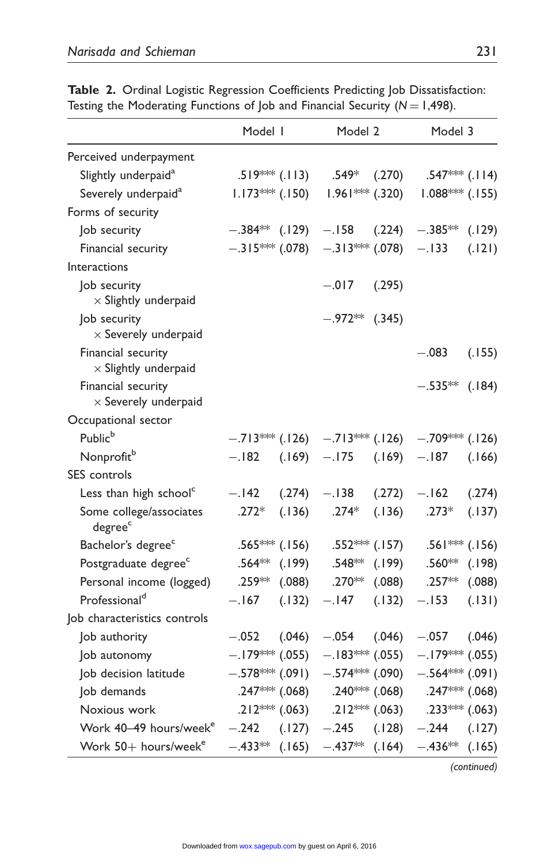|                                                   | Model I                  | Model 2                      | Model 3             |
|---------------------------------------------------|--------------------------|------------------------------|---------------------|
| Perceived underpayment                            |                          |                              |                     |
| Slightly underpaid <sup>a</sup>                   | $.519***$ (.113)         | .549*<br>(.270)              | $.547***$ (.114)    |
| Severely underpaid <sup>a</sup>                   | $1.173***$ (.150)        | $1.961***$ (.320)            | $1.088***$ (.155)   |
| Forms of security                                 |                          |                              |                     |
| ob security                                       | $-.384^{*\!*}$<br>(.129) | $-.158$<br>(.224)            | $-.385**$<br>(.129) |
| Financial security                                | $-.315***(.078)$         | $-.313***$ (.078)            | $-.133$<br>(.121)   |
| Interactions                                      |                          |                              |                     |
| Job security                                      |                          | $-.017$<br>(.295)            |                     |
| $\times$ Slightly underpaid                       |                          |                              |                     |
| Job security<br>$\times$ Severely underpaid       |                          | $-.972**$<br>(.345)          |                     |
| Financial security<br>$\times$ Slightly underpaid |                          |                              | $-.083$<br>(.155)   |
| Financial security<br>$\times$ Severely underpaid |                          |                              | $-.535**$<br>(.184) |
| Occupational sector                               |                          |                              |                     |
| Public <sup>b</sup>                               | $-.713***$ (.126)        | $-.713*** (.126)$            | $-.709*** (.126)$   |
| Nonprofit <sup>b</sup>                            | $-.182$<br>(.169)        | $-.175$<br>(.169)            | $-.187$<br>(.166)   |
| <b>SES</b> controls                               |                          |                              |                     |
| Less than high school <sup>c</sup>                | $-.142$<br>(.274)        | $-.138$<br>(.272)            | $-.162$<br>(.274)   |
| Some college/associates<br>degree <sup>c</sup>    | $.272*$<br>(.136)        | $.274*$<br>(.136)            | $.273*$<br>(.137)   |
| Bachelor's degree <sup>c</sup>                    | $.565***$ (.156)         | $.552***$ (.157)             | .561*** $(.156)$    |
| Postgraduate degree <sup>c</sup>                  | $.564**$<br>(.199)       | .548 <sup>**</sup><br>(.199) | .560**<br>(.198)    |
| Personal income (logged)                          | $.259**$<br>(.088)       | .270**<br>(.088)             | $.257**$<br>(.088)  |
| Professional <sup>d</sup>                         | $-.167$<br>(.132)        | $-.147$<br>(.132)            | $-.153$<br>(.131)   |
| Job characteristics controls                      |                          |                              |                     |
| Job authority                                     | $-.052$<br>(.046)        | $-.054$<br>(.046)            | $-.057$<br>(.046)   |
| Job autonomy                                      | $-.179***(.055)$         | $-.183***(.055)$             | $-.179***(.055)$    |
| Job decision latitude                             | $-.578***(.091)$         | $-.574***$ (.090)            | $-.564***(.091)$    |
| Job demands                                       | $.247***$ (.068)         | .240*** (.068)               | $.247***$ (.068)    |
| Noxious work                                      | .212*** (.063)           | .212** (.063)                | .233*** (.063)      |
| Work 40-49 hours/week <sup>e</sup>                | $-.242$<br>(.127)        | (.128)<br>$-.245$            | $-.244$<br>(.127)   |
| Work $50+$ hours/week <sup>e</sup>                | $-.433**$<br>(.165)      | $-.437**$<br>(.164)          | $-.436**$<br>(.165) |

Table 2. Ordinal Logistic Regression Coefficients Predicting Job Dissatisfaction: Testing the Moderating Functions of Job and Financial Security ( $N = 1,498$ ).

(continued)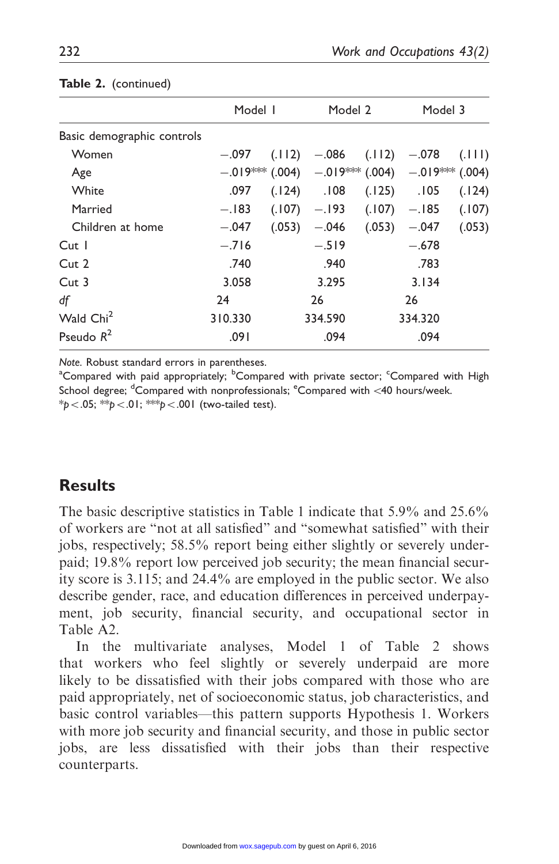|                            | Model I          |        | Model 2 |        | Model 3                           |        |
|----------------------------|------------------|--------|---------|--------|-----------------------------------|--------|
| Basic demographic controls |                  |        |         |        |                                   |        |
| Women                      | $-.097$          | (.112) | $-.086$ |        | $(.112) - .078$                   | (.111) |
| Age                        | $-.019***+.004)$ |        |         |        | $-.019***(.004)$ $-.019***(.004)$ |        |
| White                      | .097             | (.124) | .108    | (.125) | .105                              | (.124) |
| Married                    | $-.183$          | (.107) | $-.193$ | (.107) | $-.185$                           | (.107) |
| Children at home           | $-.047$          | (.053) | $-.046$ | (.053) | $-.047$                           | (.053) |
| Cut <sub>l</sub>           | $-.716$          |        | $-.519$ |        | $-.678$                           |        |
| Cut <sub>2</sub>           | .740             |        | .940    |        | .783                              |        |
| Cut <sub>3</sub>           | 3.058            |        | 3.295   |        | 3.134                             |        |
| df                         | 24               |        | 26      |        | 26                                |        |
| Wald Chi <sup>2</sup>      | 310.330          |        | 334.590 |        | 334.320                           |        |
| Pseudo $R^2$               | .091             |        | .094    |        | .094                              |        |

#### Table 2. (continued)

Note. Robust standard errors in parentheses.

Compared with paid appropriately; <sup>b</sup>Compared with private sector; <sup>c</sup>Compared with High School degree; <sup>d</sup>Compared with nonprofessionals; <sup>e</sup>Compared with <40 hours/week.  $*p<.05$ ;  $**p<.01$ ;  $**p<.001$  (two-tailed test).

# **Results**

The basic descriptive statistics in Table 1 indicate that 5.9% and 25.6% of workers are "not at all satisfied" and "somewhat satisfied" with their jobs, respectively; 58.5% report being either slightly or severely underpaid; 19.8% report low perceived job security; the mean financial security score is 3.115; and 24.4% are employed in the public sector. We also describe gender, race, and education differences in perceived underpayment, job security, financial security, and occupational sector in Table A2.

In the multivariate analyses, Model 1 of Table 2 shows that workers who feel slightly or severely underpaid are more likely to be dissatisfied with their jobs compared with those who are paid appropriately, net of socioeconomic status, job characteristics, and basic control variables—this pattern supports Hypothesis 1. Workers with more job security and financial security, and those in public sector jobs, are less dissatisfied with their jobs than their respective counterparts.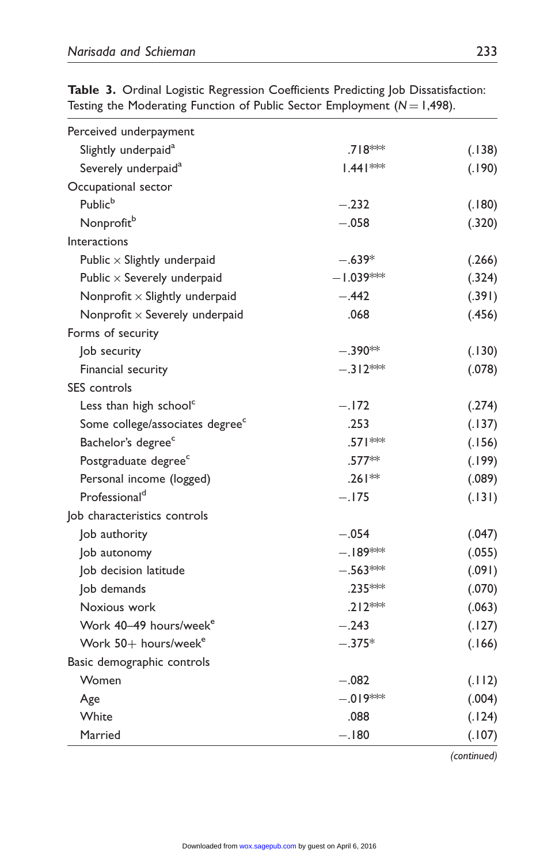| Perceived underpayment                      |                                        |        |
|---------------------------------------------|----------------------------------------|--------|
| Slightly underpaid <sup>a</sup>             | .718***                                | (.138) |
| Severely underpaid <sup>a</sup>             | $1.441***$                             | (.190) |
| Occupational sector                         |                                        |        |
| Public <sup>b</sup>                         | $-.232$                                | (.180) |
| Nonprofit <sup>b</sup>                      | $-.058$                                | (.320) |
| Interactions                                |                                        |        |
| Public $\times$ Slightly underpaid          | $-.639*$                               | (.266) |
| Public $\times$ Severely underpaid          | –1.039***                              | (.324) |
| Nonprofit $\times$ Slightly underpaid       | $-.442$                                | (.391) |
| Nonprofit $\times$ Severely underpaid       | .068                                   | (.456) |
| Forms of security                           |                                        |        |
| Job security                                | $-.390^{**}$                           | (.130) |
| Financial security                          | $-.312***$                             | (.078) |
| <b>SES</b> controls                         |                                        |        |
| Less than high school <sup>c</sup>          | $-.172$                                | (.274) |
| Some college/associates degree <sup>c</sup> | .253                                   | (.137) |
| Bachelor's degree <sup>c</sup>              | .571***                                | (.156) |
| Postgraduate degree <sup>c</sup>            | .577**                                 | (.199) |
| Personal income (logged)                    | .261**                                 | (.089) |
| Professional <sup>d</sup>                   | $-.175$                                | (.131) |
| Job characteristics controls                |                                        |        |
| Job authority                               | $-.054$                                | (.047) |
| Job autonomy                                | –.189***                               | (.055) |
| Job decision latitude                       | $-.563^{*\!\bowtie\!\bowtie\!\bowtie}$ | (.091) |
| Job demands                                 | $.235***$                              | (.070) |
| Noxious work                                | $.212***$                              | (.063) |
| Work 40–49 hours/week <sup>e</sup>          | $-.243$                                | (.127) |
| Work $50+$ hours/week <sup>e</sup>          | $-.375*$                               | (.166) |
| Basic demographic controls                  |                                        |        |
| Women                                       | $-.082$                                | (.112) |
| Age                                         | $-.019***$                             | (.004) |
| White                                       | .088                                   | (.124) |
| Married                                     | $-.180$                                | (.107) |

Table 3. Ordinal Logistic Regression Coefficients Predicting Job Dissatisfaction: Testing the Moderating Function of Public Sector Employment ( $N = 1,498$ ).

(continued)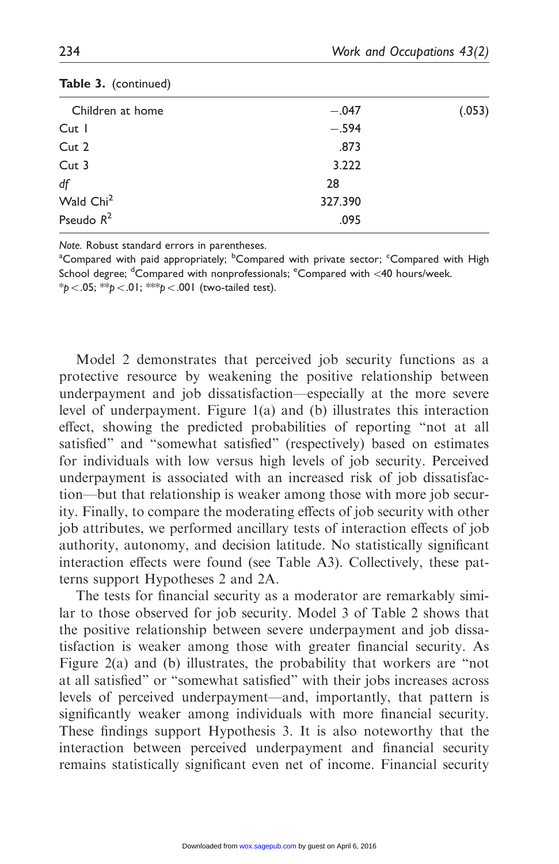| Children at home      | $-.047$ | (.053) |
|-----------------------|---------|--------|
| Cut I                 | $-.594$ |        |
| Cut 2                 | .873    |        |
| Cut 3                 | 3.222   |        |
| df                    | 28      |        |
| Wald Chi <sup>2</sup> | 327.390 |        |
| Pseudo $R^2$          | .095    |        |
|                       |         |        |

#### Table 3. (continued)

Note. Robust standard errors in parentheses.

Compared with paid appropriately; <sup>b</sup>Compared with private sector; <sup>c</sup>Compared with High School degree; <sup>d</sup>Compared with nonprofessionals; <sup>e</sup>Compared with <40 hours/week.  $*p<.05$ ;  $*p<.01$ ;  $**p<.001$  (two-tailed test).

Model 2 demonstrates that perceived job security functions as a protective resource by weakening the positive relationship between underpayment and job dissatisfaction—especially at the more severe level of underpayment. Figure 1(a) and (b) illustrates this interaction effect, showing the predicted probabilities of reporting "not at all satisfied" and "somewhat satisfied" (respectively) based on estimates for individuals with low versus high levels of job security. Perceived underpayment is associated with an increased risk of job dissatisfaction—but that relationship is weaker among those with more job security. Finally, to compare the moderating effects of job security with other job attributes, we performed ancillary tests of interaction effects of job authority, autonomy, and decision latitude. No statistically significant interaction effects were found (see Table A3). Collectively, these patterns support Hypotheses 2 and 2A.

The tests for financial security as a moderator are remarkably similar to those observed for job security. Model 3 of Table 2 shows that the positive relationship between severe underpayment and job dissatisfaction is weaker among those with greater financial security. As Figure 2(a) and (b) illustrates, the probability that workers are "not at all satisfied" or "somewhat satisfied" with their jobs increases across levels of perceived underpayment—and, importantly, that pattern is significantly weaker among individuals with more financial security. These findings support Hypothesis 3. It is also noteworthy that the interaction between perceived underpayment and financial security remains statistically significant even net of income. Financial security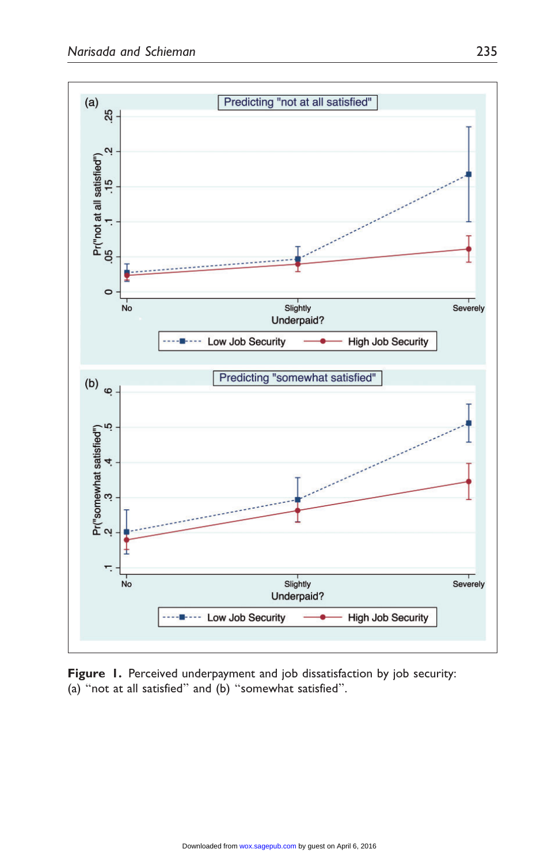

Figure 1. Perceived underpayment and job dissatisfaction by job security: (a) "not at all satisfied" and (b) "somewhat satisfied".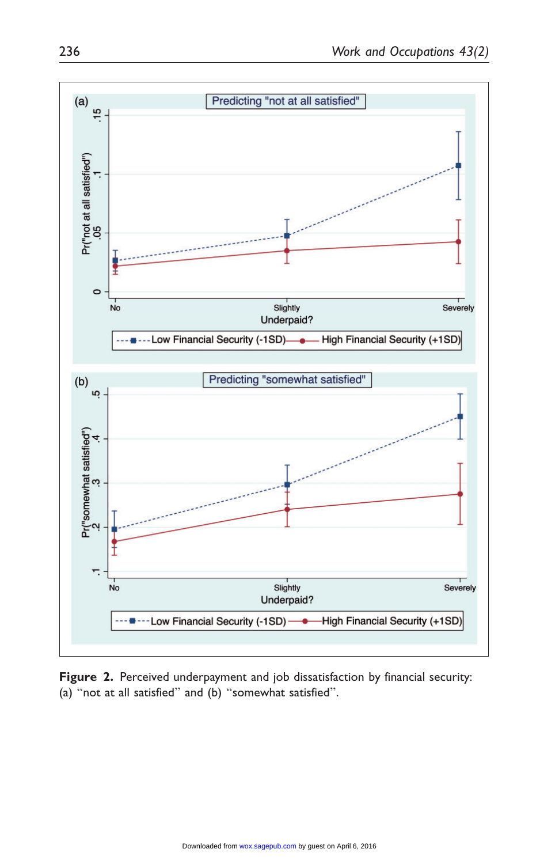

Figure 2. Perceived underpayment and job dissatisfaction by financial security: (a) "not at all satisfied" and (b) "somewhat satisfied".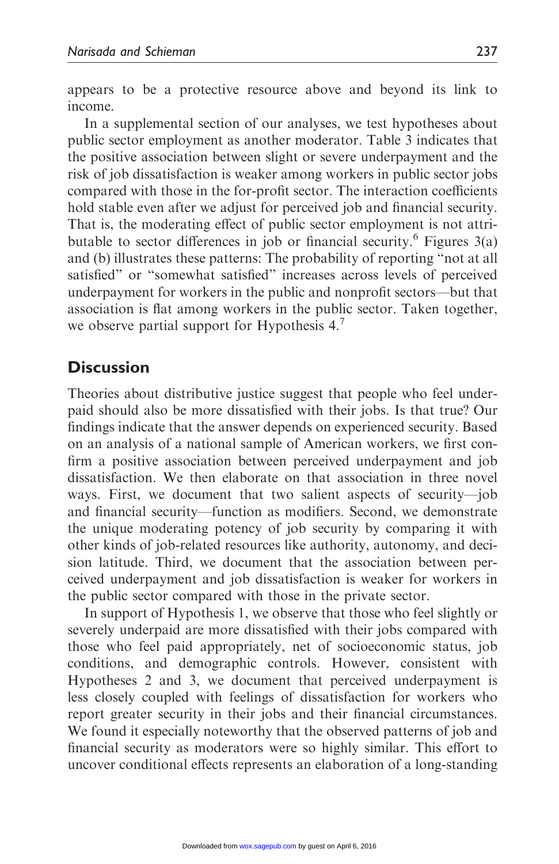appears to be a protective resource above and beyond its link to income.

In a supplemental section of our analyses, we test hypotheses about public sector employment as another moderator. Table 3 indicates that the positive association between slight or severe underpayment and the risk of job dissatisfaction is weaker among workers in public sector jobs compared with those in the for-profit sector. The interaction coefficients hold stable even after we adjust for perceived job and financial security. That is, the moderating effect of public sector employment is not attributable to sector differences in job or financial security.<sup>6</sup> Figures  $3(a)$ and (b) illustrates these patterns: The probability of reporting "not at all satisfied" or "somewhat satisfied" increases across levels of perceived underpayment for workers in the public and nonprofit sectors—but that association is flat among workers in the public sector. Taken together, we observe partial support for Hypothesis 4.<sup>7</sup>

# **Discussion**

Theories about distributive justice suggest that people who feel underpaid should also be more dissatisfied with their jobs. Is that true? Our findings indicate that the answer depends on experienced security. Based on an analysis of a national sample of American workers, we first confirm a positive association between perceived underpayment and job dissatisfaction. We then elaborate on that association in three novel ways. First, we document that two salient aspects of security—job and financial security—function as modifiers. Second, we demonstrate the unique moderating potency of job security by comparing it with other kinds of job-related resources like authority, autonomy, and decision latitude. Third, we document that the association between perceived underpayment and job dissatisfaction is weaker for workers in the public sector compared with those in the private sector.

In support of Hypothesis 1, we observe that those who feel slightly or severely underpaid are more dissatisfied with their jobs compared with those who feel paid appropriately, net of socioeconomic status, job conditions, and demographic controls. However, consistent with Hypotheses 2 and 3, we document that perceived underpayment is less closely coupled with feelings of dissatisfaction for workers who report greater security in their jobs and their financial circumstances. We found it especially noteworthy that the observed patterns of job and financial security as moderators were so highly similar. This effort to uncover conditional effects represents an elaboration of a long-standing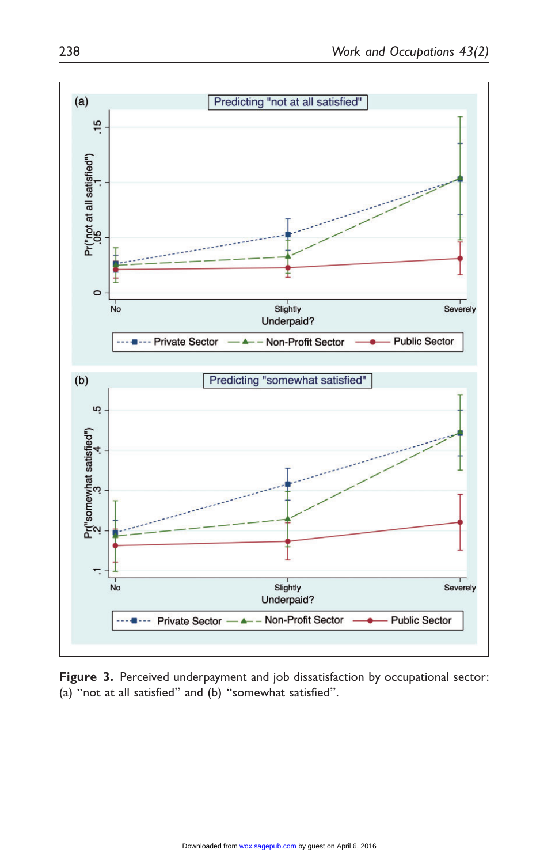

Figure 3. Perceived underpayment and job dissatisfaction by occupational sector: (a) "not at all satisfied" and (b) "somewhat satisfied".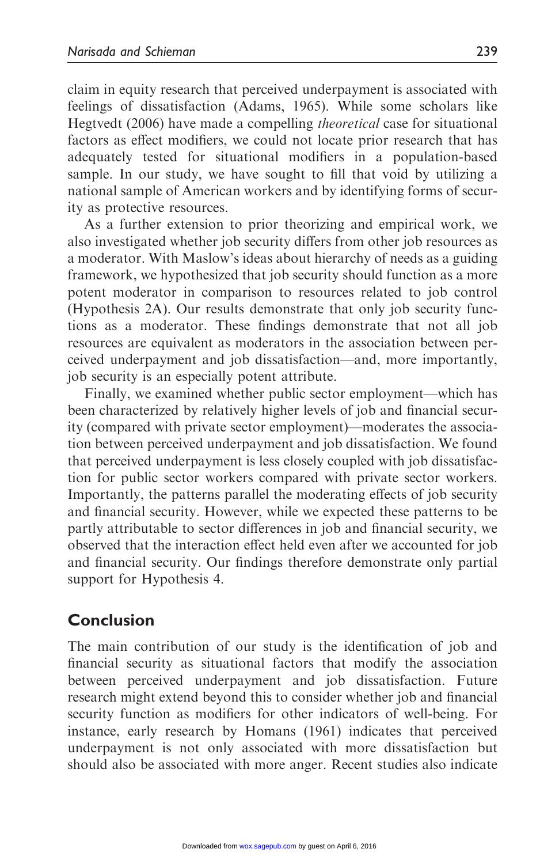claim in equity research that perceived underpayment is associated with feelings of dissatisfaction (Adams, 1965). While some scholars like Hegtvedt (2006) have made a compelling theoretical case for situational factors as effect modifiers, we could not locate prior research that has adequately tested for situational modifiers in a population-based sample. In our study, we have sought to fill that void by utilizing a national sample of American workers and by identifying forms of security as protective resources.

As a further extension to prior theorizing and empirical work, we also investigated whether job security differs from other job resources as a moderator. With Maslow's ideas about hierarchy of needs as a guiding framework, we hypothesized that job security should function as a more potent moderator in comparison to resources related to job control (Hypothesis 2A). Our results demonstrate that only job security functions as a moderator. These findings demonstrate that not all job resources are equivalent as moderators in the association between perceived underpayment and job dissatisfaction—and, more importantly, job security is an especially potent attribute.

Finally, we examined whether public sector employment—which has been characterized by relatively higher levels of job and financial security (compared with private sector employment)—moderates the association between perceived underpayment and job dissatisfaction. We found that perceived underpayment is less closely coupled with job dissatisfaction for public sector workers compared with private sector workers. Importantly, the patterns parallel the moderating effects of job security and financial security. However, while we expected these patterns to be partly attributable to sector differences in job and financial security, we observed that the interaction effect held even after we accounted for job and financial security. Our findings therefore demonstrate only partial support for Hypothesis 4.

# Conclusion

The main contribution of our study is the identification of job and financial security as situational factors that modify the association between perceived underpayment and job dissatisfaction. Future research might extend beyond this to consider whether job and financial security function as modifiers for other indicators of well-being. For instance, early research by Homans (1961) indicates that perceived underpayment is not only associated with more dissatisfaction but should also be associated with more anger. Recent studies also indicate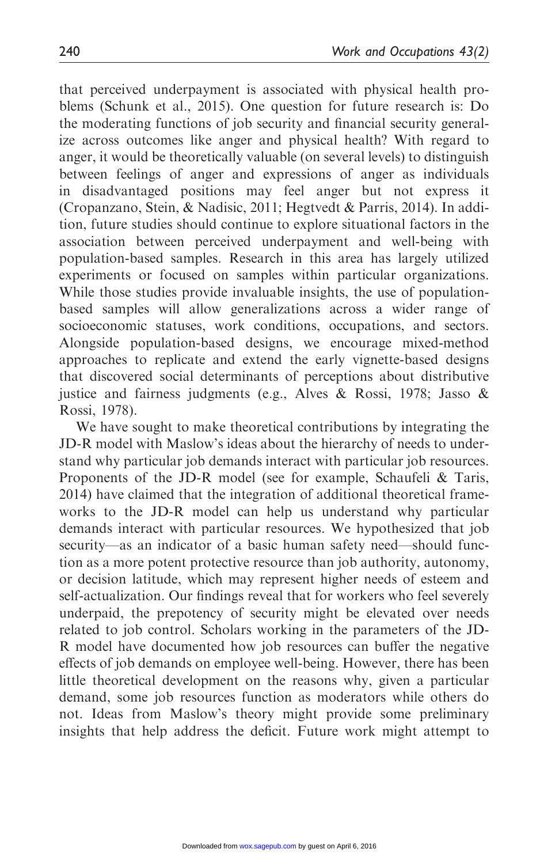that perceived underpayment is associated with physical health problems (Schunk et al., 2015). One question for future research is: Do the moderating functions of job security and financial security generalize across outcomes like anger and physical health? With regard to anger, it would be theoretically valuable (on several levels) to distinguish between feelings of anger and expressions of anger as individuals in disadvantaged positions may feel anger but not express it (Cropanzano, Stein, & Nadisic, 2011; Hegtvedt & Parris, 2014). In addition, future studies should continue to explore situational factors in the association between perceived underpayment and well-being with population-based samples. Research in this area has largely utilized experiments or focused on samples within particular organizations. While those studies provide invaluable insights, the use of populationbased samples will allow generalizations across a wider range of socioeconomic statuses, work conditions, occupations, and sectors. Alongside population-based designs, we encourage mixed-method approaches to replicate and extend the early vignette-based designs that discovered social determinants of perceptions about distributive justice and fairness judgments (e.g., Alves & Rossi, 1978; Jasso & Rossi, 1978).

We have sought to make theoretical contributions by integrating the JD-R model with Maslow's ideas about the hierarchy of needs to understand why particular job demands interact with particular job resources. Proponents of the JD-R model (see for example, Schaufeli & Taris, 2014) have claimed that the integration of additional theoretical frameworks to the JD-R model can help us understand why particular demands interact with particular resources. We hypothesized that job security—as an indicator of a basic human safety need—should function as a more potent protective resource than job authority, autonomy, or decision latitude, which may represent higher needs of esteem and self-actualization. Our findings reveal that for workers who feel severely underpaid, the prepotency of security might be elevated over needs related to job control. Scholars working in the parameters of the JD-R model have documented how job resources can buffer the negative effects of job demands on employee well-being. However, there has been little theoretical development on the reasons why, given a particular demand, some job resources function as moderators while others do not. Ideas from Maslow's theory might provide some preliminary insights that help address the deficit. Future work might attempt to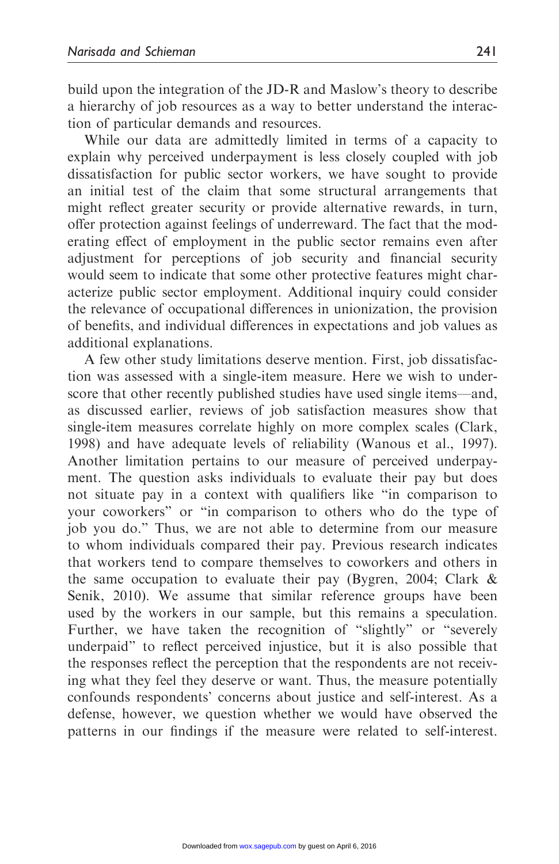build upon the integration of the JD-R and Maslow's theory to describe a hierarchy of job resources as a way to better understand the interaction of particular demands and resources.

While our data are admittedly limited in terms of a capacity to explain why perceived underpayment is less closely coupled with job dissatisfaction for public sector workers, we have sought to provide an initial test of the claim that some structural arrangements that might reflect greater security or provide alternative rewards, in turn, offer protection against feelings of underreward. The fact that the moderating effect of employment in the public sector remains even after adjustment for perceptions of job security and financial security would seem to indicate that some other protective features might characterize public sector employment. Additional inquiry could consider the relevance of occupational differences in unionization, the provision of benefits, and individual differences in expectations and job values as additional explanations.

A few other study limitations deserve mention. First, job dissatisfaction was assessed with a single-item measure. Here we wish to underscore that other recently published studies have used single items—and, as discussed earlier, reviews of job satisfaction measures show that single-item measures correlate highly on more complex scales (Clark, 1998) and have adequate levels of reliability (Wanous et al., 1997). Another limitation pertains to our measure of perceived underpayment. The question asks individuals to evaluate their pay but does not situate pay in a context with qualifiers like "in comparison to your coworkers" or "in comparison to others who do the type of job you do." Thus, we are not able to determine from our measure to whom individuals compared their pay. Previous research indicates that workers tend to compare themselves to coworkers and others in the same occupation to evaluate their pay (Bygren, 2004; Clark & Senik, 2010). We assume that similar reference groups have been used by the workers in our sample, but this remains a speculation. Further, we have taken the recognition of "slightly" or "severely underpaid" to reflect perceived injustice, but it is also possible that the responses reflect the perception that the respondents are not receiving what they feel they deserve or want. Thus, the measure potentially confounds respondents' concerns about justice and self-interest. As a defense, however, we question whether we would have observed the patterns in our findings if the measure were related to self-interest.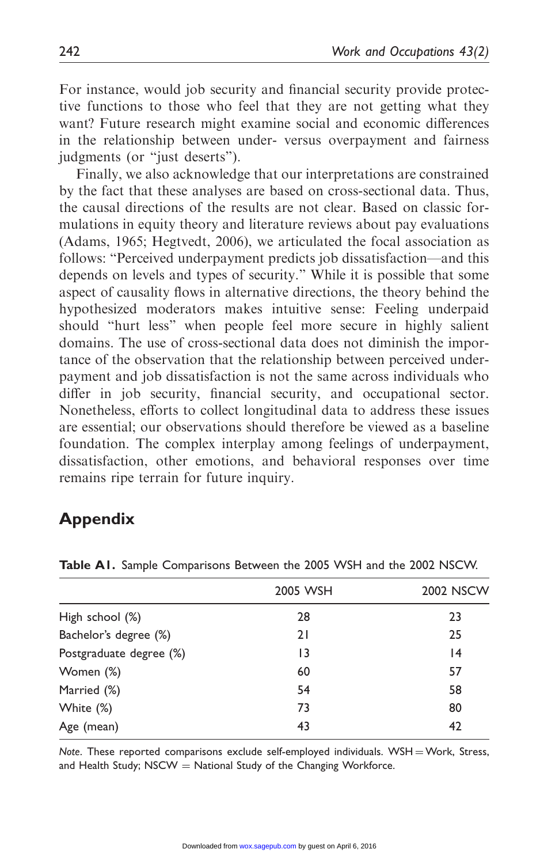For instance, would job security and financial security provide protective functions to those who feel that they are not getting what they want? Future research might examine social and economic differences in the relationship between under- versus overpayment and fairness judgments (or "just deserts").

Finally, we also acknowledge that our interpretations are constrained by the fact that these analyses are based on cross-sectional data. Thus, the causal directions of the results are not clear. Based on classic formulations in equity theory and literature reviews about pay evaluations (Adams, 1965; Hegtvedt, 2006), we articulated the focal association as follows: "Perceived underpayment predicts job dissatisfaction—and this depends on levels and types of security." While it is possible that some aspect of causality flows in alternative directions, the theory behind the hypothesized moderators makes intuitive sense: Feeling underpaid should "hurt less" when people feel more secure in highly salient domains. The use of cross-sectional data does not diminish the importance of the observation that the relationship between perceived underpayment and job dissatisfaction is not the same across individuals who differ in job security, financial security, and occupational sector. Nonetheless, efforts to collect longitudinal data to address these issues are essential; our observations should therefore be viewed as a baseline foundation. The complex interplay among feelings of underpayment, dissatisfaction, other emotions, and behavioral responses over time remains ripe terrain for future inquiry.

# Appendix

|                         | 2005 WSH | <b>2002 NSCW</b> |
|-------------------------|----------|------------------|
| High school (%)         | 28       | 23               |
| Bachelor's degree (%)   | 21       | 25               |
| Postgraduate degree (%) | 13       | $\overline{14}$  |
| Women (%)               | 60       | 57               |
| Married (%)             | 54       | 58               |
| White (%)               | 73       | 80               |
| Age (mean)              | 43       | 42               |
|                         |          |                  |

Table A1. Sample Comparisons Between the 2005 WSH and the 2002 NSCW.

Note. These reported comparisons exclude self-employed individuals. WSH = Work, Stress, and Health Study;  $NSCW =$  National Study of the Changing Workforce.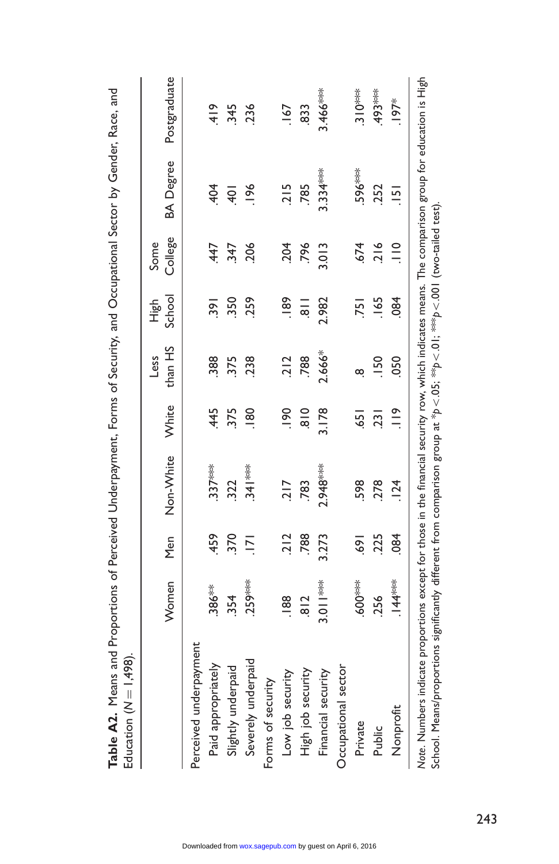| Education ( $N = 1,498$ )                                                                                                                                                                                                                                                                                |                         |                 |              |               |                 |                |                 |                  |              |
|----------------------------------------------------------------------------------------------------------------------------------------------------------------------------------------------------------------------------------------------------------------------------------------------------------|-------------------------|-----------------|--------------|---------------|-----------------|----------------|-----------------|------------------|--------------|
|                                                                                                                                                                                                                                                                                                          | Women                   | Men             | Non-White    | White         | than HS<br>Less | School<br>High | College<br>Some | <b>BA</b> Degree | Postgraduate |
| Perceived underpayment                                                                                                                                                                                                                                                                                   |                         |                 |              |               |                 |                |                 |                  |              |
| Paid appropriately                                                                                                                                                                                                                                                                                       | $.386**$                | 459             | $.337***$    | 445           | 388             | 391            | 447             | 404              | $-419$       |
| Slightly underpaid                                                                                                                                                                                                                                                                                       | 354                     | 370             | 322          | 375           | 375             | 350            | 347             | $\overline{5}$   | 345          |
| Severely underpaid                                                                                                                                                                                                                                                                                       | $259***$                | $\overline{5}$  | $34$   $***$ | $rac{80}{1}$  | 238             | 259            | 206             | 196              | 236          |
| Forms of security                                                                                                                                                                                                                                                                                        |                         |                 |              |               |                 |                |                 |                  |              |
| Low job security                                                                                                                                                                                                                                                                                         | $\frac{88}{1}$          | 212             | 217          | $rac{1}{2}$   | 212             | $\frac{89}{2}$ | 204             | 215              | 167          |
| High job security                                                                                                                                                                                                                                                                                        | $\frac{1}{2}$           | 788             | 783          | $rac{1}{2}$   | 788             | $\overline{a}$ | 796             | 785              | 833          |
| Financial security                                                                                                                                                                                                                                                                                       | $3.01$ i <sup>***</sup> | 3.273           | $2.948***$   | 3.178         | $2.666*$        | 2.982          | 3.013           | $3.334***$       | $3.466***$   |
| Occupational sector                                                                                                                                                                                                                                                                                      |                         |                 |              |               |                 |                |                 |                  |              |
| Private                                                                                                                                                                                                                                                                                                  | $600***$                | $\overline{69}$ | 598          | $-65$         | œ               | 751            | 674             | 596***           | $310***$     |
| Public                                                                                                                                                                                                                                                                                                   | 256                     | 225             | 278          | 231           | .150            | .165           | 216             | 252              | $493***$     |
| Nonprofit                                                                                                                                                                                                                                                                                                | 14***                   | 084             | 124          | $\frac{6}{1}$ | 050             | 084            | $\frac{1}{1}$   | $\overline{5}$   | $-197*$      |
| Note. Numbers indicate proportions except for those in the financial security row, which indicates means. The comparison group for education is High<br>School. Means/proportions significantly different from comparison group at $*$ p < .05; $*$ s $\rho$ < .01; $*$ s $*$ p < .001 (two-tailed test) |                         |                 |              |               |                 |                |                 |                  |              |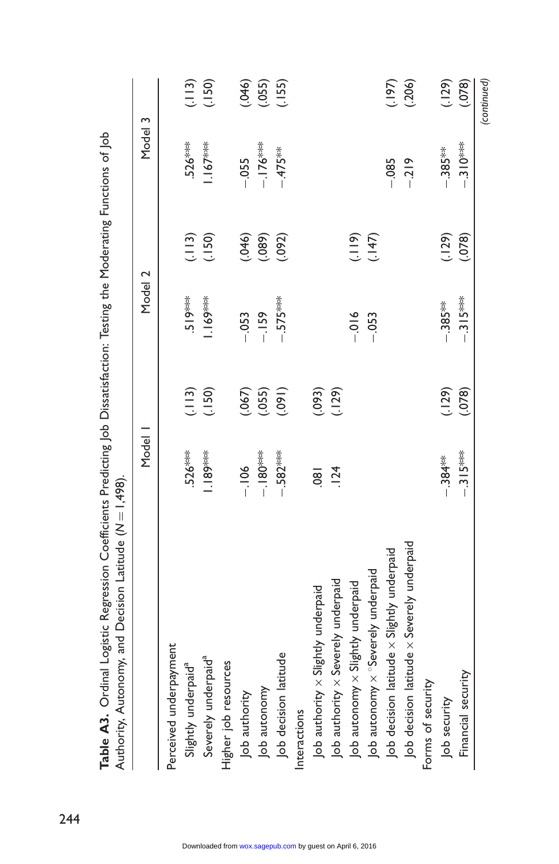| Iable A3, Original Logistic Kegression Dissauration: Predicting Job Dissauration: Iesting the Moderating Functions of Job<br>Authority, Autonomy, and Decision Latitude (N = 1,498). |                  |         |               |         |            |             |
|--------------------------------------------------------------------------------------------------------------------------------------------------------------------------------------|------------------|---------|---------------|---------|------------|-------------|
|                                                                                                                                                                                      | Model            |         | Model 2       |         | Model 3    |             |
| Perceived underpayment                                                                                                                                                               |                  |         |               |         |            |             |
| Slightly underpaid <sup>a</sup>                                                                                                                                                      | <b>526***</b>    | (113)   | **** 5.<br>.5 | (113)   | $.526***$  | (113)       |
| Severely underpaid <sup>a</sup>                                                                                                                                                      | <b>I.189</b> *** | (150)   | $1.169***$    | (150)   | $1.167***$ | (150)       |
| Higher job resources                                                                                                                                                                 |                  |         |               |         |            |             |
| Job authority                                                                                                                                                                        | $-106$           | (.067)  | $-0.53$       | (.046)  | $-0.55$    | (A6)        |
| Job autonomy                                                                                                                                                                         | **<br>1801.-     | (055)   | $-159$        | (089)   | ---176***  | (.055)      |
| Job decision latitude                                                                                                                                                                | $-.582***$       | (0.091) | $-.575***$    | (092)   | $-475**$   | (.155)      |
| Interactions                                                                                                                                                                         |                  |         |               |         |            |             |
| Job authority × Slightly underpaid                                                                                                                                                   | $\overline{8}$   | (0.093) |               |         |            |             |
| Job authority x Severely underpaid                                                                                                                                                   | 124              | (129)   |               |         |            |             |
| Job autonomy x Slightly underpaid                                                                                                                                                    |                  |         | $-0.016$      | (119)   |            |             |
| Job autonomy x °Severely underpaid                                                                                                                                                   |                  |         | $-.053$       | (147)   |            |             |
| Job decision latitude x Slightly underpaid                                                                                                                                           |                  |         |               |         | $-085$     | (197)       |
| Job decision latitude x Severely underpaid                                                                                                                                           |                  |         |               |         | $-219$     | (206)       |
| Forms of security                                                                                                                                                                    |                  |         |               |         |            |             |
| Job security                                                                                                                                                                         | $-384**$         | (.129)  | $-385**$      | (129)   | $-385**$   | (129)       |
| Financial security                                                                                                                                                                   | $-315***$        | (0.078) | $-315***$     | (0.078) | $-310***$  | (078)       |
|                                                                                                                                                                                      |                  |         |               |         |            | (continued) |

یا ماہ<br>ماہ Table A3. Ordinal Logistic Regression Coefficients Predicting Job Dissatisfaction: Testing the Moderating Functions of Job ú ÷,  $\overline{2}$ l, É k . ä l, l, Ĥ é  $\cdot$ ्र **C**  $\overline{a}$ .  $\overline{a}$ ś Ċ  $\epsilon$ k Ė É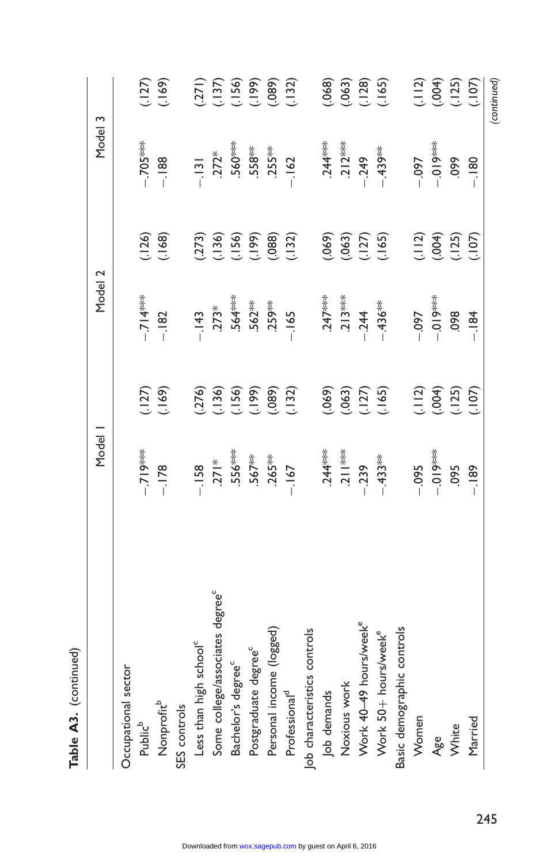|                                             | Model     |         | Model 2   |                               | Model 3   |                                                     |
|---------------------------------------------|-----------|---------|-----------|-------------------------------|-----------|-----------------------------------------------------|
| Occupational sector                         |           |         |           |                               |           |                                                     |
| Public <sup>b</sup>                         | $-719***$ | (127)   | $-714**$  | (.126)                        | $-705***$ | (127)                                               |
| Nonprofit <sup>b</sup>                      | $-.178$   | (169)   | $-182$    | (.168)                        | $-188$    | (69)                                                |
| SES controls                                |           |         |           |                               |           |                                                     |
| Less than high school <sup>c</sup>          | $-158$    | (276)   | $-143$    | (273)                         | $-131$    |                                                     |
| Some college/associates degree <sup>c</sup> | $271*$    | (.136)  | $.273*$   | (.136)                        | $272*$    | $(137)$<br>$(156)$<br>$(156)$<br>$(156)$<br>$(156)$ |
| Bachelor's degree <sup>c</sup>              | $.556***$ | (.156)  | $.564***$ |                               | $.560***$ |                                                     |
| Postgraduate degree <sup>c</sup>            | $.567**$  | (199)   | 562**     | $(156)$<br>$(199)$<br>$(080)$ | $.558**$  |                                                     |
| Personal income (logged)                    | $265**$   | (0.089) | .259**    |                               | $.255***$ |                                                     |
| Professional <sup>d</sup>                   | $-167$    | (.132)  | $-165$    | (.132)                        | $-162$    | (132)                                               |
| Job characteristics controls                |           |         |           |                               |           |                                                     |
| Job demands                                 | $.244***$ | (069)   | $.247***$ | (069)                         | $.244***$ | (.068)                                              |
| Noxious work                                | $211***$  | (.063)  | $.213***$ |                               | $.212***$ | (.063)                                              |
| Work 40-49 hours/week <sup>e</sup>          | $-0.239$  | (127)   | $-244$    | $(.063)$<br>$(.127)$          | $-249$    | (.128)                                              |
| Work 50+ hours/week <sup>e</sup>            | $-433**$  | (.165)  | $-436**$  | (.165)                        | $-439**$  | (.165)                                              |
| Basic demographic controls                  |           |         |           |                               |           |                                                     |
| Women                                       | -.095     | (112)   | $-0.07$   | (112)                         | $-0.097$  | (112)                                               |
| Age                                         | ***610.1  | (004)   | ***610:   | (004)                         | ***610·   |                                                     |
| White                                       | .095      | (.125)  | .098      | (.125)                        | .099      | $(.004)$<br>$(.125)$                                |
| Married                                     | $-189$    | (107)   | $-184$    | (107)                         | $-180$    | (107)                                               |
|                                             |           |         |           |                               |           | (continued)                                         |

Table A3. (continued) Table A3. (continued)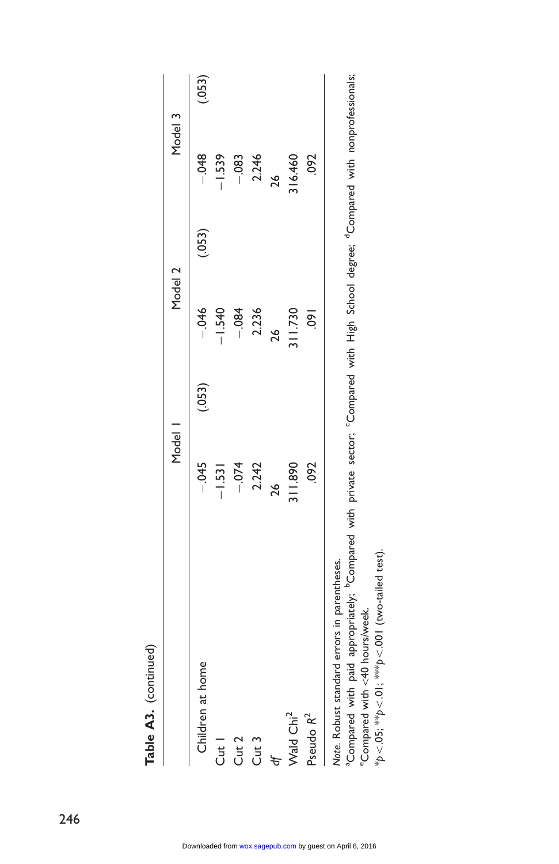|                       | Model    |        | Model 2       |        | Model 3  |        |
|-----------------------|----------|--------|---------------|--------|----------|--------|
| Children at home      | $-0.045$ | (.053) | $-0.046$      | (.053) | $-0.48$  | (.053) |
| Lut <sub>1</sub>      | $-1.531$ |        | $-1.540$      |        | $-1.539$ |        |
| Cut 2                 | $-0.074$ |        | $-084$        |        | $-083$   |        |
| Cut 3                 | 2.242    |        | 2.236         |        | 2.246    |        |
| Þ                     | 26       |        | 26            |        | 26       |        |
| Wald Chi <sup>2</sup> | 311.890  |        | 311.730       |        | 316.460  |        |
| Pseudo R <sup>2</sup> | .092     |        | $\frac{1}{2}$ |        | .092     |        |

Compared with nonprofessionals; aCompared with paid appropriately; bCompared with private sector; cCompared with High School degree; dCompared with nonprofessionals; Compared with High School degree; °Compared with paid appropriately; °Compared with private sector; °<br>°Compared with <40 hours/week.<br>\*p<.05; \*\*p<.01; \*\*\*p<.001 (two-tailed test).

<sup>e</sup>Compared with <40 hours/week.

 $*p<.05;$   $**p<.01;$   $**p<.001$  (two-tailed test).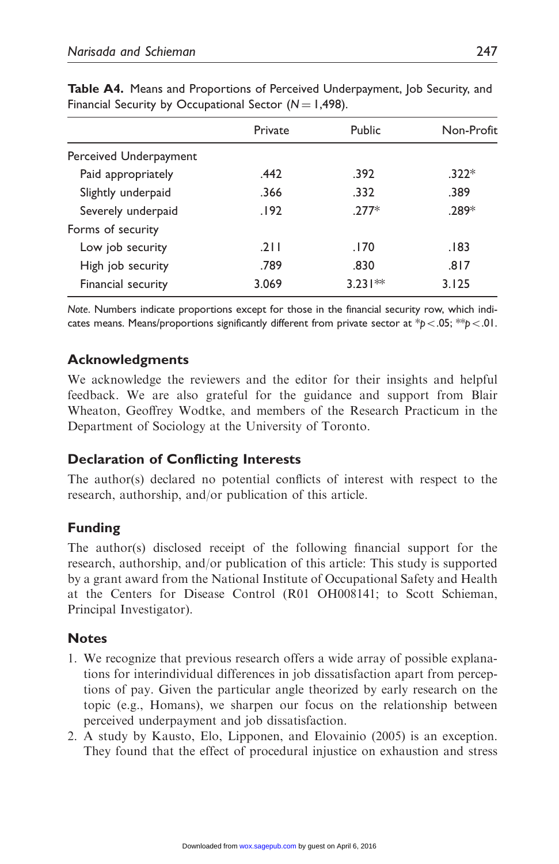| Private | Public    | Non-Profit |
|---------|-----------|------------|
|         |           |            |
| .442    | .392      | $.322*$    |
| .366    | .332      | .389       |
| .192    | $277*$    | .289*      |
|         |           |            |
| .211    | .170      | .183       |
| .789    | .830      | .817       |
| 3.069   | $3.231**$ | 3.125      |
|         |           |            |

**Table A4.** Means and Proportions of Perceived Underpayment, Job Security, and Financial Security by Occupational Sector ( $N = 1,498$ ).

Note. Numbers indicate proportions except for those in the financial security row, which indicates means. Means/proportions significantly different from private sector at  $p>6.05$ ; \*\*p $<0$ .

## Acknowledgments

We acknowledge the reviewers and the editor for their insights and helpful feedback. We are also grateful for the guidance and support from Blair Wheaton, Geoffrey Wodtke, and members of the Research Practicum in the Department of Sociology at the University of Toronto.

## Declaration of Conflicting Interests

The author(s) declared no potential conflicts of interest with respect to the research, authorship, and/or publication of this article.

## Funding

The author(s) disclosed receipt of the following financial support for the research, authorship, and/or publication of this article: This study is supported by a grant award from the National Institute of Occupational Safety and Health at the Centers for Disease Control (R01 OH008141; to Scott Schieman, Principal Investigator).

## **Notes**

- 1. We recognize that previous research offers a wide array of possible explanations for interindividual differences in job dissatisfaction apart from perceptions of pay. Given the particular angle theorized by early research on the topic (e.g., Homans), we sharpen our focus on the relationship between perceived underpayment and job dissatisfaction.
- 2. A study by Kausto, Elo, Lipponen, and Elovainio (2005) is an exception. They found that the effect of procedural injustice on exhaustion and stress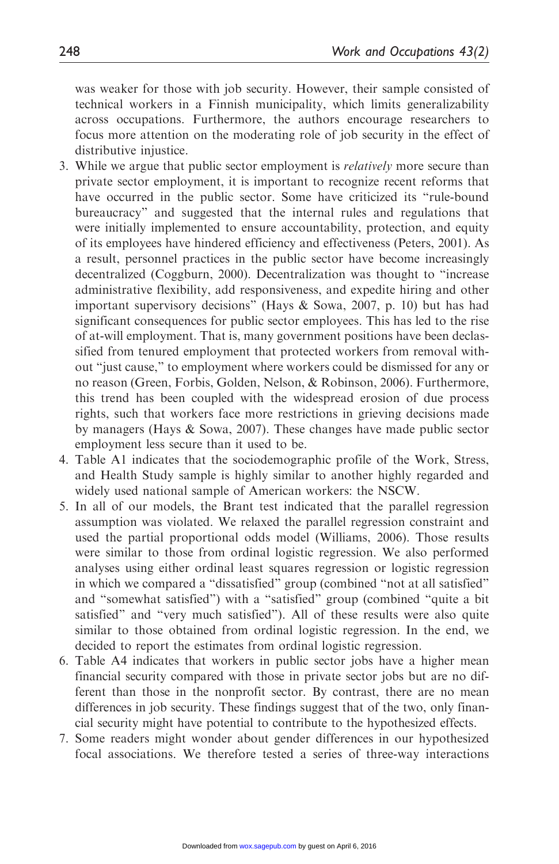was weaker for those with job security. However, their sample consisted of technical workers in a Finnish municipality, which limits generalizability across occupations. Furthermore, the authors encourage researchers to focus more attention on the moderating role of job security in the effect of distributive injustice.

- 3. While we argue that public sector employment is relatively more secure than private sector employment, it is important to recognize recent reforms that have occurred in the public sector. Some have criticized its "rule-bound bureaucracy" and suggested that the internal rules and regulations that were initially implemented to ensure accountability, protection, and equity of its employees have hindered efficiency and effectiveness (Peters, 2001). As a result, personnel practices in the public sector have become increasingly decentralized (Coggburn, 2000). Decentralization was thought to "increase administrative flexibility, add responsiveness, and expedite hiring and other important supervisory decisions" (Hays & Sowa, 2007, p. 10) but has had significant consequences for public sector employees. This has led to the rise of at-will employment. That is, many government positions have been declassified from tenured employment that protected workers from removal without "just cause," to employment where workers could be dismissed for any or no reason (Green, Forbis, Golden, Nelson, & Robinson, 2006). Furthermore, this trend has been coupled with the widespread erosion of due process rights, such that workers face more restrictions in grieving decisions made by managers (Hays & Sowa, 2007). These changes have made public sector employment less secure than it used to be.
- 4. Table A1 indicates that the sociodemographic profile of the Work, Stress, and Health Study sample is highly similar to another highly regarded and widely used national sample of American workers: the NSCW.
- 5. In all of our models, the Brant test indicated that the parallel regression assumption was violated. We relaxed the parallel regression constraint and used the partial proportional odds model (Williams, 2006). Those results were similar to those from ordinal logistic regression. We also performed analyses using either ordinal least squares regression or logistic regression in which we compared a "dissatisfied" group (combined "not at all satisfied" and "somewhat satisfied") with a "satisfied" group (combined "quite a bit satisfied" and "very much satisfied"). All of these results were also quite similar to those obtained from ordinal logistic regression. In the end, we decided to report the estimates from ordinal logistic regression.
- 6. Table A4 indicates that workers in public sector jobs have a higher mean financial security compared with those in private sector jobs but are no different than those in the nonprofit sector. By contrast, there are no mean differences in job security. These findings suggest that of the two, only financial security might have potential to contribute to the hypothesized effects.
- 7. Some readers might wonder about gender differences in our hypothesized focal associations. We therefore tested a series of three-way interactions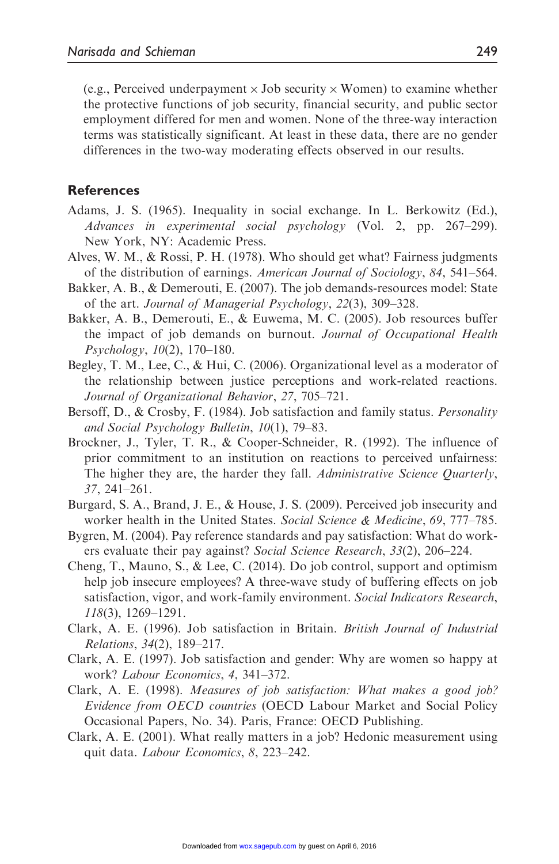(e.g., Perceived underpayment  $\times$  Job security  $\times$  Women) to examine whether the protective functions of job security, financial security, and public sector employment differed for men and women. None of the three-way interaction terms was statistically significant. At least in these data, there are no gender differences in the two-way moderating effects observed in our results.

#### **References**

- Adams, J. S. (1965). Inequality in social exchange. In L. Berkowitz (Ed.), Advances in experimental social psychology (Vol. 2, pp. 267–299). New York, NY: Academic Press.
- Alves, W. M., & Rossi, P. H. (1978). Who should get what? Fairness judgments of the distribution of earnings. American Journal of Sociology, 84, 541–564.
- Bakker, A. B., & Demerouti, E. (2007). The job demands-resources model: State of the art. Journal of Managerial Psychology, 22(3), 309–328.
- Bakker, A. B., Demerouti, E., & Euwema, M. C. (2005). Job resources buffer the impact of job demands on burnout. Journal of Occupational Health Psychology, 10(2), 170–180.
- Begley, T. M., Lee, C., & Hui, C. (2006). Organizational level as a moderator of the relationship between justice perceptions and work-related reactions. Journal of Organizational Behavior, 27, 705–721.
- Bersoff, D., & Crosby, F. (1984). Job satisfaction and family status. Personality and Social Psychology Bulletin, 10(1), 79–83.
- Brockner, J., Tyler, T. R., & Cooper-Schneider, R. (1992). The influence of prior commitment to an institution on reactions to perceived unfairness: The higher they are, the harder they fall. Administrative Science Quarterly, 37, 241–261.
- Burgard, S. A., Brand, J. E., & House, J. S. (2009). Perceived job insecurity and worker health in the United States. Social Science & Medicine, 69, 777–785.
- Bygren, M. (2004). Pay reference standards and pay satisfaction: What do workers evaluate their pay against? Social Science Research, 33(2), 206–224.
- Cheng, T., Mauno, S., & Lee, C. (2014). Do job control, support and optimism help job insecure employees? A three-wave study of buffering effects on job satisfaction, vigor, and work-family environment. Social Indicators Research, 118(3), 1269–1291.
- Clark, A. E. (1996). Job satisfaction in Britain. British Journal of Industrial Relations, 34(2), 189–217.
- Clark, A. E. (1997). Job satisfaction and gender: Why are women so happy at work? Labour Economics, 4, 341–372.
- Clark, A. E. (1998). Measures of job satisfaction: What makes a good job? Evidence from OECD countries (OECD Labour Market and Social Policy Occasional Papers, No. 34). Paris, France: OECD Publishing.
- Clark, A. E. (2001). What really matters in a job? Hedonic measurement using quit data. Labour Economics, 8, 223–242.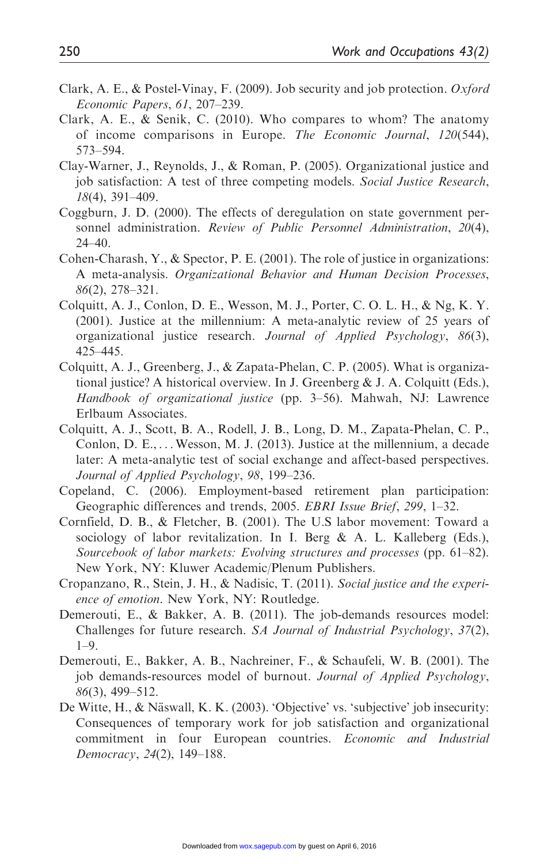- Clark, A. E., & Postel-Vinay, F. (2009). Job security and job protection. Oxford Economic Papers, 61, 207–239.
- Clark, A. E., & Senik, C. (2010). Who compares to whom? The anatomy of income comparisons in Europe. The Economic Journal, 120(544), 573–594.
- Clay-Warner, J., Reynolds, J., & Roman, P. (2005). Organizational justice and job satisfaction: A test of three competing models. Social Justice Research, 18(4), 391–409.
- Coggburn, J. D. (2000). The effects of deregulation on state government personnel administration. Review of Public Personnel Administration, 20(4), 24–40.
- Cohen-Charash, Y., & Spector, P. E. (2001). The role of justice in organizations: A meta-analysis. Organizational Behavior and Human Decision Processes, 86(2), 278–321.
- Colquitt, A. J., Conlon, D. E., Wesson, M. J., Porter, C. O. L. H., & Ng, K. Y. (2001). Justice at the millennium: A meta-analytic review of 25 years of organizational justice research. Journal of Applied Psychology, 86(3), 425–445.
- Colquitt, A. J., Greenberg, J., & Zapata-Phelan, C. P. (2005). What is organizational justice? A historical overview. In J. Greenberg  $\&$  J. A. Colquitt (Eds.), Handbook of organizational justice (pp. 3–56). Mahwah, NJ: Lawrence Erlbaum Associates.
- Colquitt, A. J., Scott, B. A., Rodell, J. B., Long, D. M., Zapata-Phelan, C. P., Conlon, D. E., ... Wesson, M. J. (2013). Justice at the millennium, a decade later: A meta-analytic test of social exchange and affect-based perspectives. Journal of Applied Psychology, 98, 199–236.
- Copeland, C. (2006). Employment-based retirement plan participation: Geographic differences and trends, 2005. EBRI Issue Brief, 299, 1–32.
- Cornfield, D. B., & Fletcher, B. (2001). The U.S labor movement: Toward a sociology of labor revitalization. In I. Berg  $\& A$ . L. Kalleberg (Eds.), Sourcebook of labor markets: Evolving structures and processes (pp. 61–82). New York, NY: Kluwer Academic/Plenum Publishers.
- Cropanzano, R., Stein, J. H., & Nadisic, T. (2011). Social justice and the experience of emotion. New York, NY: Routledge.
- Demerouti, E., & Bakker, A. B. (2011). The job-demands resources model: Challenges for future research. SA Journal of Industrial Psychology, 37(2), 1–9.
- Demerouti, E., Bakker, A. B., Nachreiner, F., & Schaufeli, W. B. (2001). The job demands-resources model of burnout. Journal of Applied Psychology, 86(3), 499–512.
- De Witte,  $H_{\cdot}$ ,  $\&$  Näswall, K. K. (2003). 'Objective' vs. 'subjective' job insecurity: Consequences of temporary work for job satisfaction and organizational commitment in four European countries. Economic and Industrial Democracy, 24(2), 149–188.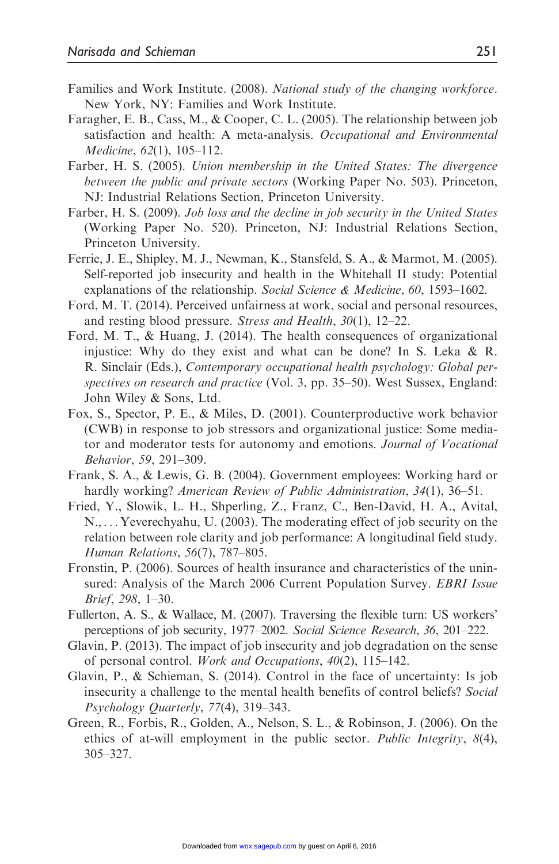- Families and Work Institute. (2008). National study of the changing workforce. New York, NY: Families and Work Institute.
- Faragher, E. B., Cass, M., & Cooper, C. L. (2005). The relationship between job satisfaction and health: A meta-analysis. Occupational and Environmental Medicine, 62(1), 105–112.
- Farber, H. S. (2005). Union membership in the United States: The divergence between the public and private sectors (Working Paper No. 503). Princeton, NJ: Industrial Relations Section, Princeton University.
- Farber, H. S. (2009). Job loss and the decline in job security in the United States (Working Paper No. 520). Princeton, NJ: Industrial Relations Section, Princeton University.
- Ferrie, J. E., Shipley, M. J., Newman, K., Stansfeld, S. A., & Marmot, M. (2005). Self-reported job insecurity and health in the Whitehall II study: Potential explanations of the relationship. Social Science & Medicine, 60, 1593–1602.
- Ford, M. T. (2014). Perceived unfairness at work, social and personal resources, and resting blood pressure. Stress and Health, 30(1), 12–22.
- Ford, M. T., & Huang, J. (2014). The health consequences of organizational injustice: Why do they exist and what can be done? In S. Leka & R. R. Sinclair (Eds.), Contemporary occupational health psychology: Global perspectives on research and practice (Vol. 3, pp. 35–50). West Sussex, England: John Wiley & Sons, Ltd.
- Fox, S., Spector, P. E., & Miles, D. (2001). Counterproductive work behavior (CWB) in response to job stressors and organizational justice: Some mediator and moderator tests for autonomy and emotions. Journal of Vocational Behavior, 59, 291–309.
- Frank, S. A., & Lewis, G. B. (2004). Government employees: Working hard or hardly working? American Review of Public Administration, 34(1), 36–51.
- Fried, Y., Slowik, L. H., Shperling, Z., Franz, C., Ben-David, H. A., Avital, N., ... Yeverechyahu, U. (2003). The moderating effect of job security on the relation between role clarity and job performance: A longitudinal field study. Human Relations, 56(7), 787–805.
- Fronstin, P. (2006). Sources of health insurance and characteristics of the uninsured: Analysis of the March 2006 Current Population Survey. EBRI Issue Brief, 298, 1–30.
- Fullerton, A. S., & Wallace, M. (2007). Traversing the flexible turn: US workers' perceptions of job security, 1977–2002. Social Science Research, 36, 201–222.
- Glavin, P. (2013). The impact of job insecurity and job degradation on the sense of personal control. Work and Occupations, 40(2), 115–142.
- Glavin, P., & Schieman, S. (2014). Control in the face of uncertainty: Is job insecurity a challenge to the mental health benefits of control beliefs? Social Psychology Quarterly, 77(4), 319–343.
- Green, R., Forbis, R., Golden, A., Nelson, S. L., & Robinson, J. (2006). On the ethics of at-will employment in the public sector. Public Integrity, 8(4), 305–327.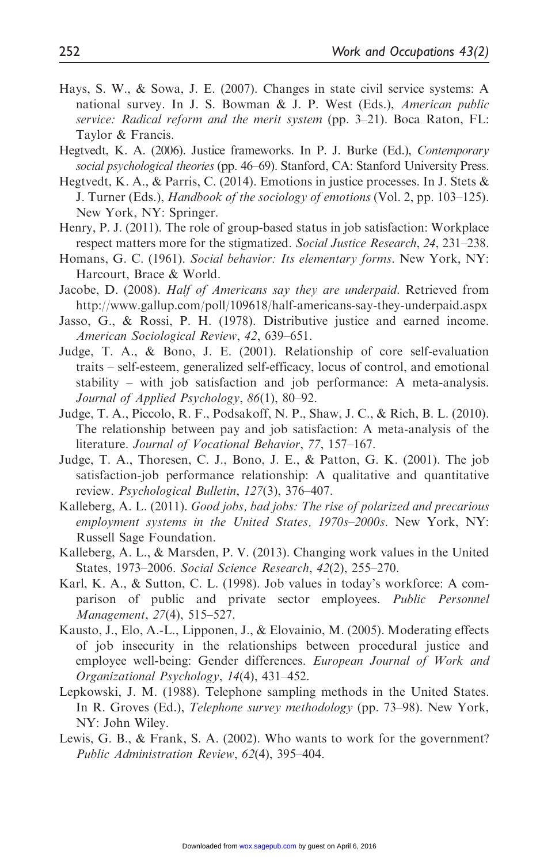- Hays, S. W., & Sowa, J. E. (2007). Changes in state civil service systems: A national survey. In J. S. Bowman & J. P. West (Eds.), American public service: Radical reform and the merit system (pp. 3-21). Boca Raton, FL: Taylor & Francis.
- Hegtvedt, K. A. (2006). Justice frameworks. In P. J. Burke (Ed.), Contemporary social psychological theories (pp. 46–69). Stanford, CA: Stanford University Press.
- Hegtvedt, K. A., & Parris, C. (2014). Emotions in justice processes. In J. Stets & J. Turner (Eds.), *Handbook of the sociology of emotions* (Vol. 2, pp. 103–125). New York, NY: Springer.
- Henry, P. J. (2011). The role of group-based status in job satisfaction: Workplace respect matters more for the stigmatized. Social Justice Research, 24, 231–238.
- Homans, G. C. (1961). Social behavior: Its elementary forms. New York, NY: Harcourt, Brace & World.
- Jacobe, D. (2008). Half of Americans say they are underpaid. Retrieved from http://www.gallup.com/poll/109618/half-americans-say-they-underpaid.aspx
- Jasso, G., & Rossi, P. H. (1978). Distributive justice and earned income. American Sociological Review, 42, 639–651.
- Judge, T. A., & Bono, J. E. (2001). Relationship of core self-evaluation traits – self-esteem, generalized self-efficacy, locus of control, and emotional stability – with job satisfaction and job performance: A meta-analysis. Journal of Applied Psychology, 86(1), 80–92.
- Judge, T. A., Piccolo, R. F., Podsakoff, N. P., Shaw, J. C., & Rich, B. L. (2010). The relationship between pay and job satisfaction: A meta-analysis of the literature. Journal of Vocational Behavior, 77, 157–167.
- Judge, T. A., Thoresen, C. J., Bono, J. E., & Patton, G. K. (2001). The job satisfaction-job performance relationship: A qualitative and quantitative review. Psychological Bulletin, 127(3), 376–407.
- Kalleberg, A. L. (2011). Good jobs, bad jobs: The rise of polarized and precarious employment systems in the United States, 1970s-2000s. New York, NY: Russell Sage Foundation.
- Kalleberg, A. L., & Marsden, P. V. (2013). Changing work values in the United States, 1973–2006. Social Science Research, 42(2), 255–270.
- Karl, K. A., & Sutton, C. L. (1998). Job values in today's workforce: A comparison of public and private sector employees. Public Personnel Management, 27(4), 515–527.
- Kausto, J., Elo, A.-L., Lipponen, J., & Elovainio, M. (2005). Moderating effects of job insecurity in the relationships between procedural justice and employee well-being: Gender differences. European Journal of Work and Organizational Psychology, 14(4), 431–452.
- Lepkowski, J. M. (1988). Telephone sampling methods in the United States. In R. Groves (Ed.), Telephone survey methodology (pp. 73–98). New York, NY: John Wiley.
- Lewis, G. B., & Frank, S. A. (2002). Who wants to work for the government? Public Administration Review, 62(4), 395–404.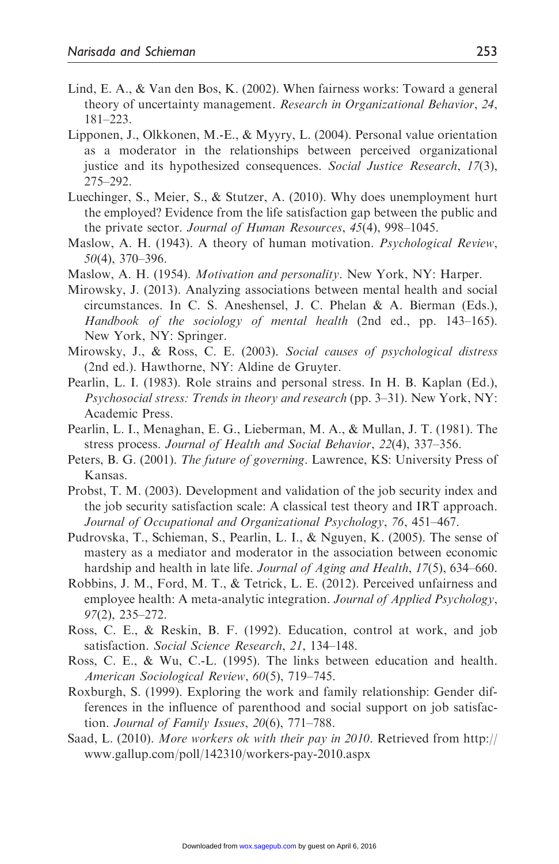- Lind, E. A., & Van den Bos, K. (2002). When fairness works: Toward a general theory of uncertainty management. Research in Organizational Behavior, 24, 181–223.
- Lipponen, J., Olkkonen, M.-E., & Myyry, L. (2004). Personal value orientation as a moderator in the relationships between perceived organizational justice and its hypothesized consequences. Social Justice Research, 17(3), 275–292.
- Luechinger, S., Meier, S., & Stutzer, A. (2010). Why does unemployment hurt the employed? Evidence from the life satisfaction gap between the public and the private sector. Journal of Human Resources, 45(4), 998–1045.
- Maslow, A. H. (1943). A theory of human motivation. Psychological Review, 50(4), 370–396.
- Maslow, A. H. (1954). Motivation and personality. New York, NY: Harper.
- Mirowsky, J. (2013). Analyzing associations between mental health and social circumstances. In C. S. Aneshensel, J. C. Phelan & A. Bierman (Eds.), Handbook of the sociology of mental health (2nd ed., pp. 143–165). New York, NY: Springer.
- Mirowsky, J., & Ross, C. E. (2003). Social causes of psychological distress (2nd ed.). Hawthorne, NY: Aldine de Gruyter.
- Pearlin, L. I. (1983). Role strains and personal stress. In H. B. Kaplan (Ed.), Psychosocial stress: Trends in theory and research (pp. 3–31). New York, NY: Academic Press.
- Pearlin, L. I., Menaghan, E. G., Lieberman, M. A., & Mullan, J. T. (1981). The stress process. Journal of Health and Social Behavior, 22(4), 337–356.
- Peters, B. G. (2001). The future of governing. Lawrence, KS: University Press of Kansas.
- Probst, T. M. (2003). Development and validation of the job security index and the job security satisfaction scale: A classical test theory and IRT approach. Journal of Occupational and Organizational Psychology, 76, 451–467.
- Pudrovska, T., Schieman, S., Pearlin, L. I., & Nguyen, K. (2005). The sense of mastery as a mediator and moderator in the association between economic hardship and health in late life. Journal of Aging and Health, 17(5), 634–660.
- Robbins, J. M., Ford, M. T., & Tetrick, L. E. (2012). Perceived unfairness and employee health: A meta-analytic integration. Journal of Applied Psychology, 97(2), 235–272.
- Ross, C. E., & Reskin, B. F. (1992). Education, control at work, and job satisfaction. Social Science Research, 21, 134–148.
- Ross, C. E., & Wu, C.-L. (1995). The links between education and health. American Sociological Review, 60(5), 719–745.
- Roxburgh, S. (1999). Exploring the work and family relationship: Gender differences in the influence of parenthood and social support on job satisfaction. Journal of Family Issues, 20(6), 771–788.
- Saad, L. (2010). More workers ok with their pay in 2010. Retrieved from http:// www.gallup.com/poll/142310/workers-pay-2010.aspx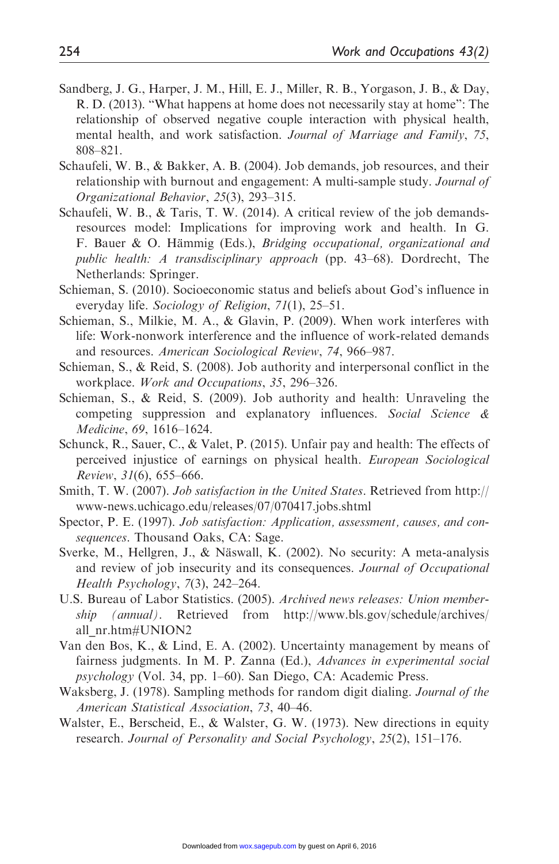- Sandberg, J. G., Harper, J. M., Hill, E. J., Miller, R. B., Yorgason, J. B., & Day, R. D. (2013). "What happens at home does not necessarily stay at home": The relationship of observed negative couple interaction with physical health, mental health, and work satisfaction. Journal of Marriage and Family, 75, 808–821.
- Schaufeli, W. B., & Bakker, A. B. (2004). Job demands, job resources, and their relationship with burnout and engagement: A multi-sample study. Journal of Organizational Behavior, 25(3), 293–315.
- Schaufeli, W. B., & Taris, T. W. (2014). A critical review of the job demandsresources model: Implications for improving work and health. In G. F. Bauer & O. Hämmig (Eds.), Bridging occupational, organizational and public health: A transdisciplinary approach (pp. 43–68). Dordrecht, The Netherlands: Springer.
- Schieman, S. (2010). Socioeconomic status and beliefs about God's influence in everyday life. Sociology of Religion, 71(1), 25-51.
- Schieman, S., Milkie, M. A., & Glavin, P. (2009). When work interferes with life: Work-nonwork interference and the influence of work-related demands and resources. American Sociological Review, 74, 966–987.
- Schieman, S., & Reid, S. (2008). Job authority and interpersonal conflict in the workplace. Work and Occupations, 35, 296–326.
- Schieman, S., & Reid, S. (2009). Job authority and health: Unraveling the competing suppression and explanatory influences. Social Science & Medicine, 69, 1616–1624.
- Schunck, R., Sauer, C., & Valet, P. (2015). Unfair pay and health: The effects of perceived injustice of earnings on physical health. European Sociological Review, 31(6), 655–666.
- Smith, T. W. (2007). *Job satisfaction in the United States*. Retrieved from http:// www-news.uchicago.edu/releases/07/070417.jobs.shtml
- Spector, P. E. (1997). Job satisfaction: Application, assessment, causes, and consequences. Thousand Oaks, CA: Sage.
- Sverke, M., Hellgren, J., & Näswall, K. (2002). No security: A meta-analysis and review of job insecurity and its consequences. Journal of Occupational Health Psychology, 7(3), 242–264.
- U.S. Bureau of Labor Statistics. (2005). Archived news releases: Union membership (annual). Retrieved from http://www.bls.gov/schedule/archives/ all\_nr.htm#UNION2
- Van den Bos, K., & Lind, E. A. (2002). Uncertainty management by means of fairness judgments. In M. P. Zanna (Ed.), Advances in experimental social psychology (Vol. 34, pp. 1–60). San Diego, CA: Academic Press.
- Waksberg, J. (1978). Sampling methods for random digit dialing. Journal of the American Statistical Association, 73, 40–46.
- Walster, E., Berscheid, E., & Walster, G. W. (1973). New directions in equity research. Journal of Personality and Social Psychology, 25(2), 151-176.